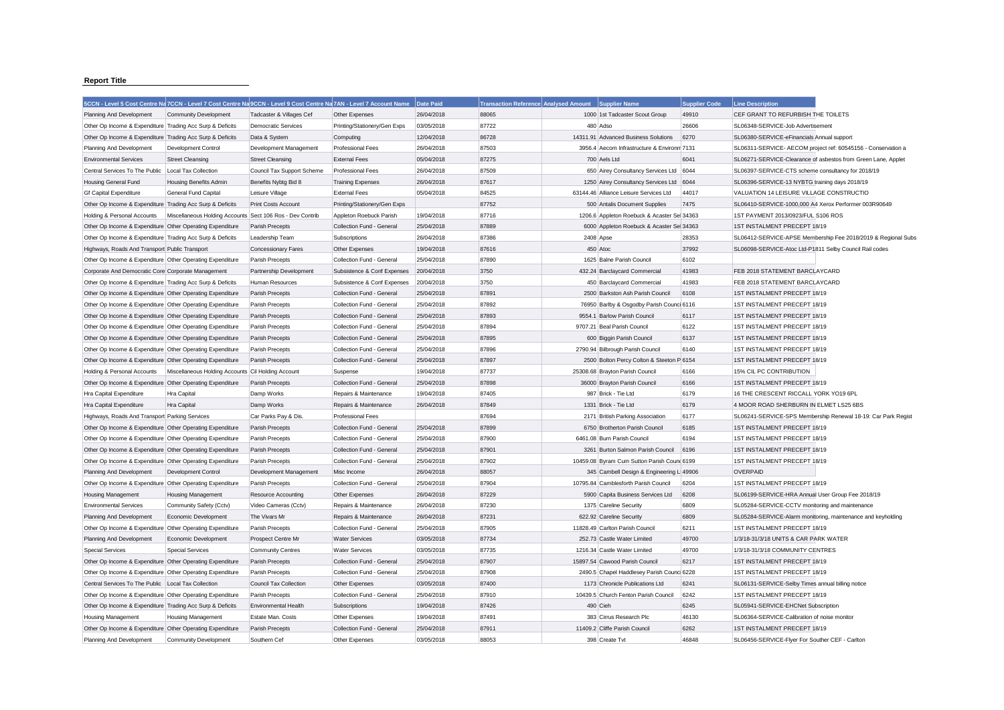## **Report Title**

|                                                           | 5CCN - Level 5 Cost Centre Na 7CCN - Level 7 Cost Centre Na 9CCN - Level 9 Cost Centre Na 7AN - Level 7 Account Name |                               |                              | Date Paid  | <b>Transaction Reference Analysed Amount</b> |           | Supplier Name                               | <b>Supplier Code</b> | <b>Line Description</b>                                 |                                                               |
|-----------------------------------------------------------|----------------------------------------------------------------------------------------------------------------------|-------------------------------|------------------------------|------------|----------------------------------------------|-----------|---------------------------------------------|----------------------|---------------------------------------------------------|---------------------------------------------------------------|
| Planning And Development                                  | <b>Community Development</b>                                                                                         | Tadcaster & Villages Cef      | Other Expenses               | 26/04/2018 | 88065                                        |           | 1000 1st Tadcaster Scout Group              | 49910                | CEF GRANT TO REFURBISH THE TOILETS                      |                                                               |
| Other Op Income & Expenditure Trading Acc Surp & Deficits |                                                                                                                      | <b>Democratic Services</b>    | Printing/Stationery/Gen Exps | 03/05/2018 | 87722                                        |           | 480 Adso                                    | 26606                | SL06348-SERVICE-Job Advertisement                       |                                                               |
| Other Op Income & Expenditure Trading Acc Surp & Deficits |                                                                                                                      | Data & System                 | Computing                    | 12/04/2018 | 86728                                        |           | 14311.91 Advanced Business Solutions        | 6270                 | SL06380-SERVICE-eFinancials Annual support              |                                                               |
| Planning And Development                                  | Development Control                                                                                                  | Development Management        | <b>Professional Fees</b>     | 26/04/2018 | 87503                                        |           | 3956.4 Aecom Infrastructure & Environm 7131 |                      |                                                         | SL06311-SERVICE- AECOM project ref: 60545156 - Conservation a |
| <b>Environmental Services</b>                             | <b>Street Cleansing</b>                                                                                              | <b>Street Cleansing</b>       | <b>External Fees</b>         | 05/04/2018 | 87275                                        |           | 700 Aels Ltd                                | 6041                 |                                                         | SL06271-SERVICE-Clearance of asbestos from Green Lane, Applet |
| Central Services To The Public                            | Local Tax Collection                                                                                                 | Council Tax Support Scheme    | <b>Professional Fees</b>     | 26/04/2018 | 87509                                        |           | 650 Airey Consultancy Services Ltd 6044     |                      | SL06397-SERVICE-CTS scheme consultancy for 2018/19      |                                                               |
| <b>Housing General Fund</b>                               | <b>Housing Benefits Admin</b>                                                                                        | Benefits Nybtg Bid 8          | <b>Training Expenses</b>     | 26/04/2018 | 87617                                        |           | 1250 Airey Consultancy Services Ltd 6044    |                      | SL06396-SERVICE-13 NYBTG training days 2018/19          |                                                               |
| <b>Gf Capital Expenditure</b>                             | General Fund Capital                                                                                                 | Leisure Village               | <b>External Fees</b>         | 05/04/2018 | 84525                                        |           | 63144.46 Alliance Leisure Services Ltd      | 44017                | VALUATION 14 LEISURE VILLAGE CONSTRUCTIO                |                                                               |
| Other Op Income & Expenditure Trading Acc Surp & Deficits |                                                                                                                      | Print Costs Account           | Printing/Stationery/Gen Exps |            | 87752                                        |           | 500 Antalis Document Supplies               | 7475                 | SL06410-SERVICE-1000,000 A4 Xerox Performer 003R90649   |                                                               |
| Holding & Personal Accounts                               | Miscellaneous Holding Accounts Sect 106 Ros - Dev Contrib                                                            |                               | Appleton Roebuck Parish      | 19/04/2018 | 87716                                        |           | 1206.6 Appleton Roebuck & Acaster Sel 34363 |                      | 1ST PAYMENT 2013/0923/FUL S106 ROS                      |                                                               |
| Other Op Income & Expenditure Other Operating Expenditure |                                                                                                                      | Parish Precepts               | Collection Fund - General    | 25/04/2018 | 87889                                        |           | 6000 Appleton Roebuck & Acaster Sel 34363   |                      | 1ST INSTALMENT PRECEPT 18/19                            |                                                               |
| Other Op Income & Expenditure Trading Acc Surp & Deficits |                                                                                                                      | Leadership Team               | Subscriptions                | 26/04/2018 | 87386                                        | 2408 Apse |                                             | 28353                |                                                         | SL06412-SERVICE-APSE Membership Fee 2018/2019 & Regional Subs |
| Highways, Roads And Transport Public Transport            |                                                                                                                      | <b>Concessionary Fares</b>    | Other Expenses               | 19/04/2018 | 87616                                        |           | 450 Atoc                                    | 37992                | SL06098-SERVICE-Atoc Ltd-P1811 Selby Council Rail codes |                                                               |
| Other Op Income & Expenditure Other Operating Expenditure |                                                                                                                      | Parish Precepts               | Collection Fund - General    | 25/04/2018 | 87890                                        |           | 1625 Balne Parish Council                   | 6102                 |                                                         |                                                               |
| Corporate And Democratic Core Corporate Management        |                                                                                                                      | Partnership Development       | Subsistence & Conf Expenses  | 20/04/2018 | 3750                                         |           | 432.24 Barclaycard Commercial               | 41983                | FEB 2018 STATEMENT BARCLAYCARD                          |                                                               |
| Other Op Income & Expenditure Trading Acc Surp & Deficits |                                                                                                                      | Human Resources               | Subsistence & Conf Expenses  | 20/04/2018 | 3750                                         |           | 450 Barclaycard Commercial                  | 41983                | FEB 2018 STATEMENT BARCLAYCARD                          |                                                               |
| Other Op Income & Expenditure Other Operating Expenditure |                                                                                                                      | Parish Precepts               | Collection Fund - General    | 25/04/2018 | 87891                                        |           | 2500 Barkston Ash Parish Council            | 6108                 | 1ST INSTALMENT PRECEPT 18/19                            |                                                               |
| Other Op Income & Expenditure Other Operating Expenditure |                                                                                                                      | Parish Precepts               | Collection Fund - General    | 25/04/2018 | 87892                                        |           | 76950 Barlby & Osgodby Parish Counci 6116   |                      | 1ST INSTALMENT PRECEPT 18/19                            |                                                               |
| Other Op Income & Expenditure Other Operating Expenditure |                                                                                                                      | Parish Precepts               | Collection Fund - General    | 25/04/2018 | 87893                                        |           | 9554.1 Barlow Parish Council                | 6117                 | 1ST INSTALMENT PRECEPT 18/19                            |                                                               |
| Other Op Income & Expenditure Other Operating Expenditure |                                                                                                                      | Parish Precepts               | Collection Fund - General    | 25/04/2018 | 87894                                        |           | 9707.21 Beal Parish Council                 | 6122                 | 1ST INSTALMENT PRECEPT 18/19                            |                                                               |
| Other Op Income & Expenditure Other Operating Expenditure |                                                                                                                      | Parish Precepts               | Collection Fund - General    | 25/04/2018 | 87895                                        |           | 600 Biggin Parish Council                   | 6137                 | 1ST INSTALMENT PRECEPT 18/19                            |                                                               |
| Other Op Income & Expenditure Other Operating Expenditure |                                                                                                                      | Parish Precepts               | Collection Fund - General    | 25/04/2018 | 87896                                        |           | 2790.94 Bilbrough Parish Council            | 6140                 | 1ST INSTALMENT PRECEPT 18/19                            |                                                               |
| Other Op Income & Expenditure Other Operating Expenditure |                                                                                                                      | Parish Precepts               | Collection Fund - General    | 25/04/2018 | 87897                                        |           | 2500 Bolton Percy Colton & Steeton P 6154   |                      | 1ST INSTALMENT PRECEPT 18/19                            |                                                               |
| Holding & Personal Accounts                               | Miscellaneous Holding Accounts Cil Holding Account                                                                   |                               | Suspense                     | 19/04/2018 | 87737                                        |           | 25308.68 Brayton Parish Council             | 6166                 | 15% CIL PC CONTRIBUTION                                 |                                                               |
| Other Op Income & Expenditure Other Operating Expenditure |                                                                                                                      | Parish Precepts               | Collection Fund - General    | 25/04/2018 | 87898                                        |           | 36000 Brayton Parish Council                | 6166                 | 1ST INSTALMENT PRECEPT 18/19                            |                                                               |
| Hra Capital Expenditure                                   | Hra Capital                                                                                                          | Damp Works                    | Repairs & Maintenance        | 19/04/2018 | 87405                                        |           | 987 Brick - Tie Ltd                         | 6179                 | 16 THE CRESCENT RICCALL YORK YO19 6PL                   |                                                               |
| Hra Capital Expenditure                                   | Hra Capital                                                                                                          | Damp Works                    | Repairs & Maintenance        | 26/04/2018 | 87849                                        |           | 1331 Brick - Tie Ltd                        | 6179                 | 4 MOOR ROAD SHERBURN IN ELMET LS25 6BS                  |                                                               |
| Highways, Roads And Transport Parking Services            |                                                                                                                      | Car Parks Pay & Dis.          | <b>Professional Fees</b>     |            | 87694                                        |           | 2171 British Parking Association            | 6177                 |                                                         | SL06241-SERVICE-SPS Membership Renewal 18-19: Car Park Regist |
| Other Op Income & Expenditure Other Operating Expenditure |                                                                                                                      | Parish Precepts               | Collection Fund - General    | 25/04/2018 | 87899                                        |           | 6750 Brotherton Parish Council              | 6185                 | 1ST INSTALMENT PRECEPT 18/19                            |                                                               |
| Other Op Income & Expenditure Other Operating Expenditure |                                                                                                                      | Parish Precepts               | Collection Fund - General    | 25/04/2018 | 87900                                        |           | 6461.08 Burn Parish Council                 | 6194                 | 1ST INSTALMENT PRECEPT 18/19                            |                                                               |
| Other Op Income & Expenditure Other Operating Expenditure |                                                                                                                      | Parish Precepts               | Collection Fund - General    | 25/04/2018 | 87901                                        |           | 3261 Burton Salmon Parish Council           | 6196                 | 1ST INSTALMENT PRECEPT 18/19                            |                                                               |
| Other Op Income & Expenditure Other Operating Expenditure |                                                                                                                      | Parish Precepts               | Collection Fund - General    | 25/04/2018 | 87902                                        |           | 10459.08 Byram Cum Sutton Parish Cound 6199 |                      | 1ST INSTALMENT PRECEPT 18/19                            |                                                               |
| Planning And Development                                  | <b>Development Control</b>                                                                                           | Development Management        | Misc Income                  | 26/04/2018 | 88057                                        |           | 345 Cambell Design & Engineering L 49906    |                      | OVERPAID                                                |                                                               |
| Other Op Income & Expenditure Other Operating Expenditure |                                                                                                                      | Parish Precepts               | Collection Fund - General    | 25/04/2018 | 87904                                        |           | 10795.84 Camblesforth Parish Council        | 6204                 | 1ST INSTALMENT PRECEPT 18/19                            |                                                               |
| <b>Housing Management</b>                                 | <b>Housing Management</b>                                                                                            | <b>Resource Accounting</b>    | Other Expenses               | 26/04/2018 | 87229                                        |           | 5900 Capita Business Services Ltd           | 6208                 | SL06199-SERVICE-HRA Annual User Group Fee 2018/19       |                                                               |
| <b>Environmental Services</b>                             | Community Safety (Cctv)                                                                                              | Video Cameras (Cctv)          | Repairs & Maintenance        | 26/04/2018 | 87230                                        |           | 1375 Careline Security                      | 6809                 | SL05284-SERVICE-CCTV monitoring and maintenance         |                                                               |
| Planning And Development                                  | Economic Development                                                                                                 | The Vivars Mr                 | Repairs & Maintenance        | 26/04/2018 | 87231                                        |           | 622.92 Careline Security                    | 6809                 |                                                         | SL05284-SERVICE-Alarm monitoring, maintenance and keyholding  |
| Other Op Income & Expenditure Other Operating Expenditure |                                                                                                                      | Parish Precepts               | Collection Fund - General    | 25/04/2018 | 87905                                        |           | 11828.49 Carlton Parish Council             | 6211                 | 1ST INSTALMENT PRECEPT 18/19                            |                                                               |
| Planning And Development                                  | Economic Development                                                                                                 | Prospect Centre Mr            | <b>Water Services</b>        | 03/05/2018 | 87734                                        |           | 252.73 Castle Water Limited                 | 49700                | 1/3/18-31/3/18 UNITS & CAR PARK WATER                   |                                                               |
| <b>Special Services</b>                                   | <b>Special Services</b>                                                                                              | <b>Community Centres</b>      | <b>Water Services</b>        | 03/05/2018 | 87735                                        |           | 1216.34 Castle Water Limited                | 49700                | 1/3/18-31/3/18 COMMUNITY CENTRES                        |                                                               |
| Other Op Income & Expenditure Other Operating Expenditure |                                                                                                                      | Parish Precepts               | Collection Fund - General    | 25/04/2018 | 87907                                        |           | 15897.54 Cawood Parish Council              | 6217                 | 1ST INSTALMENT PRECEPT 18/19                            |                                                               |
| Other Op Income & Expenditure Other Operating Expenditure |                                                                                                                      | Parish Precepts               | Collection Fund - General    | 25/04/2018 | 87908                                        |           | 2490.5 Chapel Haddlesey Parish Counci 6228  |                      | 1ST INSTALMENT PRECEPT 18/19                            |                                                               |
| Central Services To The Public Local Tax Collection       |                                                                                                                      | <b>Council Tax Collection</b> | Other Expenses               | 03/05/2018 | 87400                                        |           | 1173 Chronicle Publications Ltd             | 6241                 | SL06131-SERVICE-Selby Times annual billing notice       |                                                               |
| Other Op Income & Expenditure Other Operating Expenditure |                                                                                                                      | Parish Precepts               | Collection Fund - General    | 25/04/2018 | 87910                                        |           | 10439.5 Church Fenton Parish Council        | 6242                 | 1ST INSTALMENT PRECEPT 18/19                            |                                                               |
| Other Op Income & Expenditure Trading Acc Surp & Deficits |                                                                                                                      | <b>Environmental Health</b>   | Subscriptions                | 19/04/2018 | 87426                                        |           | 490 Cieh                                    | 6245                 | SL05941-SERVICE-EHCNet Subscription                     |                                                               |
| <b>Housing Management</b>                                 | <b>Housing Management</b>                                                                                            | Estate Man. Costs             | Other Expenses               | 19/04/2018 | 87491                                        |           | 383 Cirrus Research Plc                     | 46130                | SL06364-SERVICE-Calibration of noise monitor            |                                                               |
| Other Op Income & Expenditure Other Operating Expenditure |                                                                                                                      | Parish Precepts               | Collection Fund - General    | 25/04/2018 | 87911                                        |           | 11409.2 Cliffe Parish Council               | 6262                 | 1ST INSTALMENT PRECEPT 18/19                            |                                                               |
| Planning And Development                                  | <b>Community Development</b>                                                                                         | Southern Cef                  | Other Expenses               | 03/05/2018 | 88053                                        |           | 398 Create Tvt                              | 46848                | SL06456-SERVICE-Flver For Souther CEF - Carlton         |                                                               |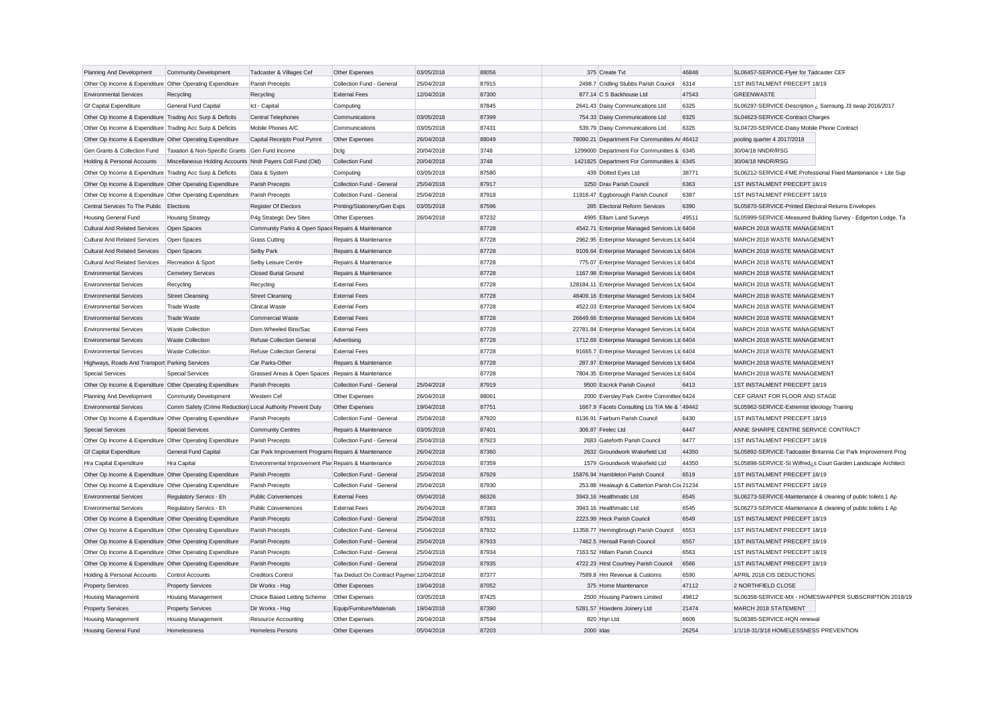| Planning And Development                                  | <b>Community Development</b>                               | Tadcaster & Villages Cef                             | Other Expenses                           | 03/05/2018 | 88056 |           | 375 Create Tvt                                 | 46848 | SL06457-SERVICE-Flyer for Tadcaster CEF                        |
|-----------------------------------------------------------|------------------------------------------------------------|------------------------------------------------------|------------------------------------------|------------|-------|-----------|------------------------------------------------|-------|----------------------------------------------------------------|
| Other Op Income & Expenditure Other Operating Expenditure |                                                            | Parish Precepts                                      | Collection Fund - General                | 25/04/2018 | 87915 |           | 2498.7 Cridling Stubbs Parish Council          | 6314  | 1ST INSTALMENT PRECEPT 18/19                                   |
| <b>Environmental Services</b>                             | Recycling                                                  | Recycling                                            | <b>External Fees</b>                     | 12/04/2018 | 87300 |           | 877.14 C S Backhouse Ltd                       | 47543 | <b>GREENWASTE</b>                                              |
| <b>Gf Capital Expenditure</b>                             | General Fund Capital                                       | Ict - Capital                                        | Computing                                |            | 87845 |           | 2641.43 Daisy Communications Ltd               | 6325  | SL06297-SERVICE-Description ¿ Samsung J3 swap 2016/2017        |
| Other Op Income & Expenditure Trading Acc Surp & Deficits |                                                            | <b>Central Telephones</b>                            | Communications                           | 03/05/2018 | 87399 |           | 754.33 Daisy Communications Ltd                | 6325  | SL04623-SERVICE-Contract Charges                               |
| Other Op Income & Expenditure Trading Acc Surp & Deficits |                                                            | Mobile Phones A/C                                    | Communications                           | 03/05/2018 | 87431 |           | 539.79 Daisy Communications Ltd                | 6325  | SL04720-SERVICE-Daisy Mobile Phone Contract                    |
| Other Op Income & Expenditure Other Operating Expenditure |                                                            | Capital Receipts Pool Pymnt                          | Other Expenses                           | 26/04/2018 | 88049 |           | 78090.21 Department For Communities Ar 46412   |       | pooling quarter 4 2017/2018                                    |
| Gen Grants & Collection Fund                              | Taxation & Non-Specific Grants Gen Fund Income             |                                                      | Dclg                                     | 20/04/2018 | 3748  |           | 1299000 Department For Communities & 6345      |       | 30/04/18 NNDR/RSG                                              |
| Holding & Personal Accounts                               | Miscellaneous Holding Accounts Nndr Payers Coll Fund (Old) |                                                      | Collection Fund                          | 20/04/2018 | 3748  |           | 1421825 Department For Communities & 6345      |       | 30/04/18 NNDR/RSG                                              |
| Other Op Income & Expenditure Trading Acc Surp & Deficits |                                                            | Data & System                                        | Computing                                | 03/05/2018 | 87580 |           | 439 Dotted Eyes Ltd                            | 38771 | SL06212-SERVICE-FME Professional Fixed Maintenance + Lite Sup  |
| Other Op Income & Expenditure Other Operating Expenditure |                                                            | Parish Precepts                                      | Collection Fund - General                | 25/04/2018 | 87917 |           | 3250 Drax Parish Council                       | 6363  | 1ST INSTALMENT PRECEPT 18/19                                   |
| Other Op Income & Expenditure Other Operating Expenditure |                                                            | Parish Precepts                                      | Collection Fund - General                | 25/04/2018 | 87918 |           | 11918.47 Eggborough Parish Council             | 6387  | 1ST INSTALMENT PRECEPT 18/19                                   |
| Central Services To The Public Elections                  |                                                            | Register Of Electors                                 | Printing/Stationery/Gen Exps             | 03/05/2018 | 87596 |           | 285 Electoral Reform Services                  | 6390  | SL05870-SERVICE-Printed Electoral Returns Envelopes            |
| Housing General Fund                                      | <b>Housing Strategy</b>                                    | P4g Strategic Dev Sites                              | Other Expenses                           | 26/04/2018 | 87232 |           | 4995 Ellam Land Surveys                        | 49511 | SL05999-SERVICE-Measured Building Survey - Edgerton Lodge, Ta  |
| <b>Cultural And Related Services</b>                      | Open Spaces                                                | Community Parks & Open Space Repairs & Maintenance   |                                          |            | 87728 |           | 4542.71 Enterprise Managed Services Ltc 6404   |       | MARCH 2018 WASTE MANAGEMENT                                    |
| Cultural And Related Services                             | Open Spaces                                                | <b>Grass Cutting</b>                                 | Repairs & Maintenance                    |            | 87728 |           | 2962.95 Enterprise Managed Services Ltd 6404   |       | MARCH 2018 WASTE MANAGEMENT                                    |
| <b>Cultural And Related Services</b>                      | Open Spaces                                                | Selby Park                                           | Repairs & Maintenance                    |            | 87728 |           | 9109.64 Enterprise Managed Services Ltc 6404   |       | MARCH 2018 WASTE MANAGEMENT                                    |
| <b>Cultural And Related Services</b>                      | Recreation & Sport                                         | Selby Leisure Centre                                 | Repairs & Maintenance                    |            | 87728 |           | 775.07 Enterprise Managed Services Ltd 6404    |       | MARCH 2018 WASTE MANAGEMENT                                    |
| <b>Environmental Services</b>                             | <b>Cemetery Services</b>                                   | <b>Closed Burial Ground</b>                          | Repairs & Maintenance                    |            | 87728 |           | 1167.98 Enterprise Managed Services Ltd 6404   |       | MARCH 2018 WASTE MANAGEMENT                                    |
| <b>Environmental Services</b>                             | Recycling                                                  | Recycling                                            | <b>External Fees</b>                     |            | 87728 |           | 128184.11 Enterprise Managed Services Ltd 6404 |       | MARCH 2018 WASTE MANAGEMENT                                    |
| <b>Environmental Services</b>                             | <b>Street Cleansing</b>                                    | <b>Street Cleansing</b>                              | <b>External Fees</b>                     |            | 87728 |           | 48409.16 Enterprise Managed Services Ltd 6404  |       | MARCH 2018 WASTE MANAGEMENT                                    |
| <b>Environmental Services</b>                             | Trade Waste                                                | <b>Clinical Waste</b>                                | <b>External Fees</b>                     |            | 87728 |           | 4522.03 Enterprise Managed Services Ltd 6404   |       | MARCH 2018 WASTE MANAGEMENT                                    |
| <b>Environmental Services</b>                             | Trade Waste                                                | Commercial Waste                                     | <b>External Fees</b>                     |            | 87728 |           | 26649.66 Enterprise Managed Services Ltd 6404  |       | MARCH 2018 WASTE MANAGEMENT                                    |
| <b>Environmental Services</b>                             | <b>Waste Collection</b>                                    | Dom.Wheeled Bins/Sac                                 | <b>External Fees</b>                     |            | 87728 |           | 22781.84 Enterprise Managed Services Ltd 6404  |       | MARCH 2018 WASTE MANAGEMENT                                    |
| <b>Environmental Services</b>                             | <b>Waste Collection</b>                                    | Refuse Collection General                            | Advertising                              |            | 87728 |           | 1712.69 Enterprise Managed Services Ltc 6404   |       | MARCH 2018 WASTE MANAGEMENT                                    |
| <b>Environmental Services</b>                             | <b>Waste Collection</b>                                    | Refuse Collection General                            | <b>External Fees</b>                     |            | 87728 |           | 91665.7 Enterprise Managed Services Ltd 6404   |       | MARCH 2018 WASTE MANAGEMENT                                    |
| Highways, Roads And Transport Parking Services            |                                                            | Car Parks-Other                                      | Repairs & Maintenance                    |            | 87728 |           | 287.97 Enterprise Managed Services Ltd 6404    |       | MARCH 2018 WASTE MANAGEMENT                                    |
| <b>Special Services</b>                                   | <b>Special Services</b>                                    | Grassed Areas & Open Spaces Repairs & Maintenance    |                                          |            | 87728 |           | 7804.35 Enterprise Managed Services Ltd 6404   |       | MARCH 2018 WASTE MANAGEMENT                                    |
| Other Op Income & Expenditure Other Operating Expenditure |                                                            | Parish Precepts                                      | Collection Fund - General                | 25/04/2018 | 87919 |           | 9500 Escrick Parish Council                    | 6413  | 1ST INSTALMENT PRECEPT 18/19                                   |
| Planning And Development                                  | <b>Community Development</b>                               | Western Cef                                          | Other Expenses                           | 26/04/2018 | 88061 |           | 2000 Eversley Park Centre Committee 6424       |       | CEF GRANT FOR FLOOR AND STAGE                                  |
| <b>Environmental Services</b>                             | Comm Safety (Crime Reduction) Local Authority Prevent Duty |                                                      | Other Expenses                           | 19/04/2018 | 87751 |           | 1667.9 Facets Consulting Lts T/A Me & 149442   |       | SL05962-SERVICE-Extremist Ideology Training                    |
| Other Op Income & Expenditure Other Operating Expenditure |                                                            | Parish Precepts                                      | Collection Fund - General                | 25/04/2018 | 87920 |           | 6136.91 Fairburn Parish Council                | 6430  | 1ST INSTALMENT PRECEPT 18/19                                   |
| <b>Special Services</b>                                   | <b>Special Services</b>                                    | <b>Community Centres</b>                             | Repairs & Maintenance                    | 03/05/2018 | 87401 |           | 306.87 Firelec Ltd                             | 6447  | ANNE SHARPE CENTRE SERVICE CONTRACT                            |
| Other Op Income & Expenditure Other Operating Expenditure |                                                            | Parish Precepts                                      | Collection Fund - General                | 25/04/2018 | 87923 |           | 2683 Gateforth Parish Council                  | 6477  | 1ST INSTALMENT PRECEPT 18/19                                   |
| <b>Gf Capital Expenditure</b>                             | <b>General Fund Capital</b>                                | Car Park Improvement Program: Repairs & Maintenance  |                                          | 26/04/2018 | 87360 |           | 2632 Groundwork Wakefield Ltd                  | 44350 | SL05892-SERVICE-Tadcaster Britannia Car Park Improvement Prog  |
| Hra Capital Expenditure                                   | Hra Capital                                                | Environmental Improvement Plar Repairs & Maintenance |                                          | 26/04/2018 | 87359 |           | 1579 Groundwork Wakefield Ltd                  | 44350 | SL05898-SERVICE-St Wilfred ¿s Court Garden Landscape Architect |
| Other Op Income & Expenditure Other Operating Expenditure |                                                            | Parish Precepts                                      | Collection Fund - General                | 25/04/2018 | 87929 |           | 15876.94 Hambleton Parish Council              | 6519  | 1ST INSTALMENT PRECEPT 18/19                                   |
| Other Op Income & Expenditure Other Operating Expenditure |                                                            | Parish Precepts                                      | Collection Fund - General                | 25/04/2018 | 87930 |           | 253.88 Healaugh & Catterton Parish Col 21234   |       | 1ST INSTALMENT PRECEPT 18/19                                   |
| <b>Environmental Services</b>                             | Regulatory Servics - Eh                                    | <b>Public Conveniences</b>                           | <b>External Fees</b>                     | 05/04/2018 | 86326 |           | 3943.16 Healthmatic Ltd                        | 6545  | SL06273-SERVICE-Maintenance & cleaning of public toilets 1 Ap  |
| <b>Environmental Services</b>                             | Regulatory Servics - Eh                                    | <b>Public Conveniences</b>                           | <b>External Fees</b>                     | 26/04/2018 | 87383 |           | 3943.16 Healthmatic Ltd                        | 6545  | SL06273-SERVICE-Maintenance & cleaning of public toilets 1 Ap  |
| Other Op Income & Expenditure Other Operating Expenditure |                                                            | Parish Precepts                                      | Collection Fund - General                | 25/04/2018 | 87931 |           | 2223.99 Heck Parish Council                    | 6549  | 1ST INSTALMENT PRECEPT 18/19                                   |
| Other Op Income & Expenditure Other Operating Expenditure |                                                            | Parish Precepts                                      | Collection Fund - General                | 25/04/2018 | 87932 |           | 11358.77 Hemingbrough Parish Council           | 6553  | 1ST INSTALMENT PRECEPT 18/19                                   |
| Other Op Income & Expenditure Other Operating Expenditure |                                                            | Parish Precepts                                      | Collection Fund - General                | 25/04/2018 | 87933 |           | 7462.5 Hensall Parish Council                  | 6557  | 1ST INSTALMENT PRECEPT 18/19                                   |
| Other Op Income & Expenditure Other Operating Expenditure |                                                            | Parish Precepts                                      | Collection Fund - General                | 25/04/2018 | 87934 |           | 7163.52 Hillam Parish Council                  | 6563  | 1ST INSTALMENT PRECEPT 18/19                                   |
| Other Op Income & Expenditure Other Operating Expenditure |                                                            | Parish Precepts                                      | Collection Fund - General                | 25/04/2018 | 87935 |           | 4722.23 Hirst Courtney Parish Council          | 6566  | 1ST INSTALMENT PRECEPT 18/19                                   |
| Holding & Personal Accounts                               | Control Accounts                                           | <b>Creditors Control</b>                             | Tax Deduct On Contract Paymer 12/04/2018 |            | 87377 |           | 7589.8 Hm Revenue & Customs                    | 6590  | APRIL 2018 CIS DEDUCTIONS                                      |
| <b>Property Services</b>                                  | <b>Property Services</b>                                   | Dir Works - Hsg                                      | Other Expenses                           | 19/04/2018 | 87052 |           | 375 Home Maintenance                           | 47112 | 2 NORTHFIELD CLOSE                                             |
| <b>Housing Management</b>                                 | <b>Housing Management</b>                                  | Choice Based Letting Scheme                          | Other Expenses                           | 03/05/2018 | 87425 |           | 2500 Housing Partners Limited                  | 49812 | SL06358-SERVICE-MX - HOMESWAPPER SUBSCRIPTION 2018/19          |
| <b>Property Services</b>                                  | <b>Property Services</b>                                   | Dir Works - Hsg                                      | Equip/Furniture/Materials                | 19/04/2018 | 87390 |           | 5281.57 Howdens Joinery Ltd                    | 21474 | MARCH 2018 STATEMENT                                           |
| <b>Housing Management</b>                                 | <b>Housing Management</b>                                  | <b>Resource Accounting</b>                           | Other Expenses                           | 26/04/2018 | 87594 |           | 820 Hqn Ltd                                    | 6606  | SL06385-SERVICE-HQN renewal                                    |
| Housing General Fund                                      | Homelessness                                               | Homeless Persons                                     | Other Expenses                           | 05/04/2018 | 87203 | 2000 Idas |                                                | 26254 | 1/1/18-31/3/18 HOMELESSNESS PREVENTION                         |
|                                                           |                                                            |                                                      |                                          |            |       |           |                                                |       |                                                                |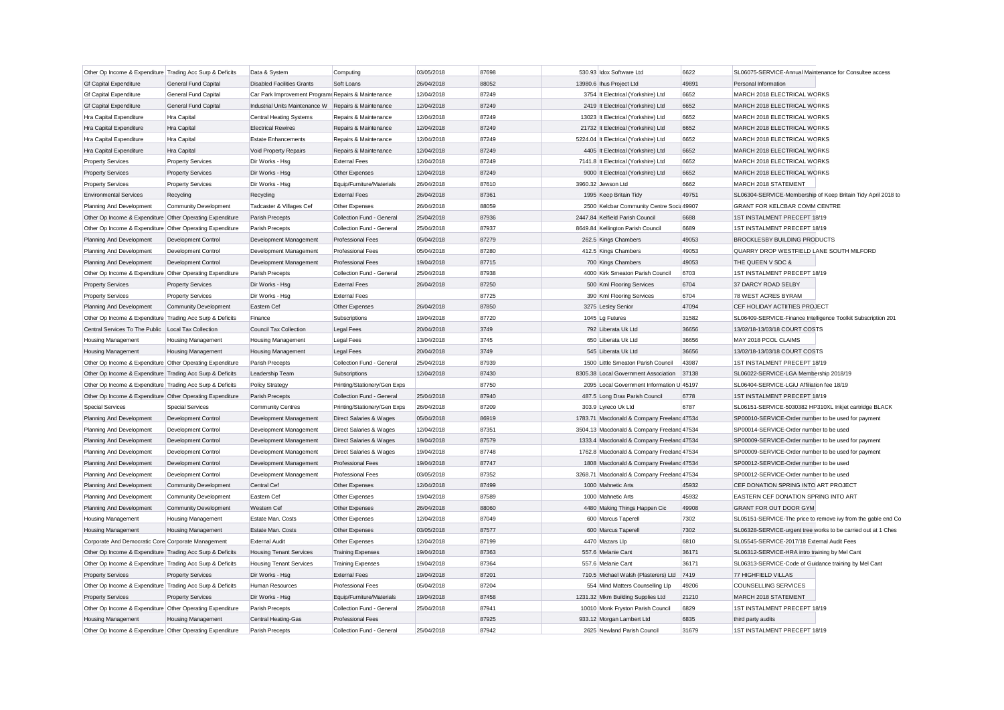| Other Op Income & Expenditure Trading Acc Surp & Deficits<br>03/05/2018<br>87698<br>530.93 Idox Software Ltd<br>6622<br>Data & System<br>Computing<br><b>General Fund Capital</b><br>13980.6 Ihus Project Ltd<br>49891<br><b>Gf Capital Expenditure</b><br><b>Disabled Facilities Grants</b><br>Soft Loans<br>26/04/2018<br>88052<br>Personal Information<br><b>Gf Capital Expenditure</b><br>General Fund Capital<br>Car Park Improvement Program: Repairs & Maintenance<br>12/04/2018<br>87249<br>3754 It Electrical (Yorkshire) Ltd<br>6652<br>MARCH 2018 ELECTRICAL WORKS<br><b>Gf Capital Expenditure</b><br><b>General Fund Capital</b><br>Industrial Units Maintenance W Repairs & Maintenance<br>12/04/2018<br>87249<br>2419 It Electrical (Yorkshire) Ltd<br>6652<br>MARCH 2018 ELECTRICAL WORKS<br>6652<br>Hra Capital<br>12/04/2018<br>87249<br>13023 It Electrical (Yorkshire) Ltd<br>MARCH 2018 ELECTRICAL WORKS<br>Hra Capital Expenditure<br>Central Heating Systems<br>Repairs & Maintenance<br>87249<br>6652<br>Hra Capital<br><b>Electrical Rewires</b><br>Repairs & Maintenance<br>12/04/2018<br>21732 It Electrical (Yorkshire) Ltd<br>MARCH 2018 ELECTRICAL WORKS<br>Hra Capital Expenditure<br>6652<br>Hra Capital<br>12/04/2018<br>87249<br>5224.04 It Electrical (Yorkshire) Ltd<br>MARCH 2018 ELECTRICAL WORKS<br>Hra Capital Expenditure<br><b>Estate Enhancements</b><br>Repairs & Maintenance<br>Repairs & Maintenance<br>12/04/2018<br>87249<br>4405 It Electrical (Yorkshire) Ltd<br>6652<br>MARCH 2018 ELECTRICAL WORKS<br>Hra Capital Expenditure<br>Hra Capital<br>Void Property Repairs<br>6652<br><b>Property Services</b><br>Dir Works - Hsg<br><b>External Fees</b><br>12/04/2018<br>87249<br>7141.8 It Electrical (Yorkshire) Ltd<br>MARCH 2018 ELECTRICAL WORKS<br><b>Property Services</b><br>87249<br>9000 It Electrical (Yorkshire) Ltd<br>6652<br>MARCH 2018 ELECTRICAL WORKS<br><b>Property Services</b><br><b>Property Services</b><br>Dir Works - Hsg<br>Other Expenses<br>12/04/2018<br>6662<br><b>Property Services</b><br><b>Property Services</b><br>Dir Works - Hsg<br>Equip/Furniture/Materials<br>26/04/2018<br>87610<br>3960.32 Jewson Ltd<br>MARCH 2018 STATEMENT<br>49751<br><b>Environmental Services</b><br>Recycling<br>Recycling<br><b>External Fees</b><br>26/04/2018<br>87361<br>1995 Keep Britain Tidy<br>Tadcaster & Villages Cef<br>Other Expenses<br>26/04/2018<br>88059<br>2500 Kelcbar Community Centre Socia 49907<br>GRANT FOR KELCBAR COMM CENTRE<br>Planning And Development<br><b>Community Development</b><br>87936<br>6688<br>1ST INSTALMENT PRECEPT 18/19<br>Other Op Income & Expenditure Other Operating Expenditure<br>Collection Fund - General<br>25/04/2018<br>2447.84 Kelfield Parish Council<br>Parish Precepts<br>Collection Fund - General<br>25/04/2018<br>87937<br>8649.84 Kellington Parish Council<br>6689<br>1ST INSTALMENT PRECEPT 18/19<br>Other Op Income & Expenditure Other Operating Expenditure<br>Parish Precepts<br><b>Professional Fees</b><br>05/04/2018<br>87279<br>262.5 Kings Chambers<br>49053<br>BROCKLESBY BUILDING PRODUCTS<br>Planning And Development<br>Development Control<br>Development Management<br>49053<br>Planning And Development<br><b>Development Control</b><br>Development Management<br><b>Professional Fees</b><br>05/04/2018<br>87280<br>412.5 Kings Chambers<br>87715<br>49053<br>Planning And Development<br>Development Control<br>Development Management<br><b>Professional Fees</b><br>19/04/2018<br>700 Kings Chambers<br>THE QUEEN V SDC &<br>87938<br>6703<br>1ST INSTALMENT PRECEPT 18/19<br>Other Op Income & Expenditure Other Operating Expenditure<br>Collection Fund - General<br>25/04/2018<br>4000 Kirk Smeaton Parish Council<br>Parish Precepts<br>6704<br><b>External Fees</b><br>26/04/2018<br>87250<br>500 Kml Flooring Services<br>37 DARCY ROAD SELBY<br><b>Property Services</b><br><b>Property Services</b><br>Dir Works - Hsg<br>87725<br>6704<br>78 WEST ACRES BYRAM<br>Dir Works - Hsg<br><b>External Fees</b><br>390 Kml Flooring Services<br><b>Property Services</b><br><b>Property Services</b><br>47094<br>Eastern Cef<br>Other Expenses<br>26/04/2018<br>87850<br>3275 Lesley Senior<br>CEF HOLIDAY ACTIITIES PROJECT<br>Planning And Development<br><b>Community Development</b><br>31582<br>Other Op Income & Expenditure Trading Acc Surp & Deficits<br>Finance<br>Subscriptions<br>19/04/2018<br>87720<br>1045 Lg Futures<br>Central Services To The Public   Local Tax Collection<br>Council Tax Collection<br>Legal Fees<br>20/04/2018<br>3749<br>792 Liberata Uk Ltd<br>36656<br>13/02/18-13/03/18 COURT COSTS<br>3745<br>Housing Management<br><b>Housing Management</b><br>Legal Fees<br>13/04/2018<br>650 Liberata Uk Ltd<br>36656<br>MAY 2018 PCOL CLAIMS<br><b>Housing Management</b><br>3749<br>545 Liberata Uk Ltd<br>36656<br>Housing Management<br><b>Housing Management</b><br><b>Housing Management</b><br>Legal Fees<br>20/04/2018<br>13/02/18-13/03/18 COURT COSTS<br>87939<br>43987<br>Other Op Income & Expenditure Other Operating Expenditure<br>Collection Fund - General<br>25/04/2018<br>1500 Little Smeaton Parish Council<br>1ST INSTALMENT PRECEPT 18/19<br>Parish Precepts<br>37138<br>Other Op Income & Expenditure Trading Acc Surp & Deficits<br>12/04/2018<br>87430<br>8305.38 Local Government Association<br>Leadership Team<br>Subscriptions<br>87750<br>2095 Local Government Information U 45197<br>SL06404-SERVICE-LGiU Affiliation fee 18/19<br>Other Op Income & Expenditure Trading Acc Surp & Deficits<br>Printing/Stationery/Gen Exps<br><b>Policy Strategy</b><br>Other Op Income & Expenditure Other Operating Expenditure<br>Parish Precepts<br>Collection Fund - General<br>25/04/2018<br>87940<br>487.5 Long Drax Parish Council<br>6778<br>1ST INSTALMENT PRECEPT 18/19<br>26/04/2018<br>87209<br>6787<br><b>Special Services</b><br><b>Special Services</b><br><b>Community Centres</b><br>Printing/Stationery/Gen Exps<br>303.9 Lyreco Uk Ltd<br>Development Control<br>Direct Salaries & Wages<br>05/04/2018<br>86919<br>1783.71 Macdonald & Company Freelanc 47534<br>Planning And Development<br>Development Management<br>Planning And Development<br>Development Control<br>Development Management<br>Direct Salaries & Wages<br>12/04/2018<br>87351<br>3504.13 Macdonald & Company Freeland 47534<br>SP00014-SERVICE-Order number to be used<br><b>Development Control</b><br>19/04/2018<br>87579<br>1333.4 Macdonald & Company Freeland 47534<br>Planning And Development<br>Development Management<br><b>Direct Salaries &amp; Wages</b><br>87748<br>1762.8 Macdonald & Company Freeland 47534<br>Planning And Development<br>Development Control<br>Development Management<br>Direct Salaries & Wages<br>19/04/2018<br>87747<br><b>Development Control</b><br><b>Professional Fees</b><br>19/04/2018<br>1808 Macdonald & Company Freeland 47534<br>SP00012-SERVICE-Order number to be used<br>Planning And Development<br>Development Management<br><b>Professional Fees</b><br>03/05/2018<br>87352<br>3268.71 Macdonald & Company Freeland 47534<br>SP00012-SERVICE-Order number to be used<br>Planning And Development<br>Development Control<br>Development Management<br>87499<br>Planning And Development<br><b>Community Development</b><br>Central Cef<br>Other Expenses<br>12/04/2018<br>1000 Mahnetic Arts<br>45932<br>Eastern Cef<br>19/04/2018<br>87589<br>1000 Mahnetic Arts<br>45932<br>Planning And Development<br><b>Community Development</b><br>Other Expenses<br>Planning And Development<br><b>Community Development</b><br>Western Cef<br>Other Expenses<br>26/04/2018<br>88060<br>4480 Making Things Happen Cic<br>49908<br><b>GRANT FOR OUT DOOR GYM</b><br>7302<br>87049<br>Housing Management<br><b>Housing Management</b><br>Estate Man. Costs<br>Other Expenses<br>12/04/2018<br>600 Marcus Taperell<br>7302<br>Estate Man, Costs<br>87577<br>600 Marcus Taperell<br>Housing Management<br><b>Housing Management</b><br>Other Expenses<br>03/05/2018<br>6810<br>Corporate And Democratic Core Corporate Management<br><b>External Audit</b><br>Other Expenses<br>12/04/2018<br>87199<br>4470 Mazars Llp<br>19/04/2018<br>87363<br>557.6 Melanie Cant<br>36171<br>Other Op Income & Expenditure Trading Acc Surp & Deficits<br><b>Housing Tenant Services</b><br><b>Training Expenses</b><br>36171<br>Other Op Income & Expenditure Trading Acc Surp & Deficits<br><b>Housing Tenant Services</b><br><b>Training Expenses</b><br>19/04/2018<br>87364<br>557.6 Melanie Cant<br>87201<br>77 HIGHFIELD VILLAS<br><b>Property Services</b><br><b>Property Services</b><br>Dir Works - Hsg<br><b>External Fees</b><br>19/04/2018<br>710.5 Michael Walsh (Plasterers) Ltd<br>7419<br>Other Op Income & Expenditure Trading Acc Surp & Deficits<br>Human Resources<br><b>Professional Fees</b><br>05/04/2018<br>87204<br>554 Mind Matters Counselling Llp<br>49206<br>COUNSELLING SERVICES<br><b>Property Services</b><br>Dir Works - Hsg<br>Equip/Furniture/Materials<br>19/04/2018<br>87458<br>1231.32 Mkm Building Supplies Ltd<br>21210<br>MARCH 2018 STATEMENT<br><b>Property Services</b><br>Collection Fund - General<br>25/04/2018<br>87941<br>10010 Monk Fryston Parish Council<br>6829<br>1ST INSTALMENT PRECEPT 18/19<br>Other Op Income & Expenditure Other Operating Expenditure<br>Parish Precepts<br>87925<br>933.12 Morgan Lambert Ltd<br>6835<br>Central Heating-Gas<br>Professional Fees<br>third party audits<br><b>Housing Management</b><br><b>Housing Management</b><br>25/04/2018<br>87942<br>2625 Newland Parish Council<br>31679<br>1ST INSTALMENT PRECEPT 18/19<br>Other Op Income & Expenditure Other Operating Expenditure<br>Parish Precepts<br>Collection Fund - General |  |  |  |  |                                                               |
|-----------------------------------------------------------------------------------------------------------------------------------------------------------------------------------------------------------------------------------------------------------------------------------------------------------------------------------------------------------------------------------------------------------------------------------------------------------------------------------------------------------------------------------------------------------------------------------------------------------------------------------------------------------------------------------------------------------------------------------------------------------------------------------------------------------------------------------------------------------------------------------------------------------------------------------------------------------------------------------------------------------------------------------------------------------------------------------------------------------------------------------------------------------------------------------------------------------------------------------------------------------------------------------------------------------------------------------------------------------------------------------------------------------------------------------------------------------------------------------------------------------------------------------------------------------------------------------------------------------------------------------------------------------------------------------------------------------------------------------------------------------------------------------------------------------------------------------------------------------------------------------------------------------------------------------------------------------------------------------------------------------------------------------------------------------------------------------------------------------------------------------------------------------------------------------------------------------------------------------------------------------------------------------------------------------------------------------------------------------------------------------------------------------------------------------------------------------------------------------------------------------------------------------------------------------------------------------------------------------------------------------------------------------------------------------------------------------------------------------------------------------------------------------------------------------------------------------------------------------------------------------------------------------------------------------------------------------------------------------------------------------------------------------------------------------------------------------------------------------------------------------------------------------------------------------------------------------------------------------------------------------------------------------------------------------------------------------------------------------------------------------------------------------------------------------------------------------------------------------------------------------------------------------------------------------------------------------------------------------------------------------------------------------------------------------------------------------------------------------------------------------------------------------------------------------------------------------------------------------------------------------------------------------------------------------------------------------------------------------------------------------------------------------------------------------------------------------------------------------------------------------------------------------------------------------------------------------------------------------------------------------------------------------------------------------------------------------------------------------------------------------------------------------------------------------------------------------------------------------------------------------------------------------------------------------------------------------------------------------------------------------------------------------------------------------------------------------------------------------------------------------------------------------------------------------------------------------------------------------------------------------------------------------------------------------------------------------------------------------------------------------------------------------------------------------------------------------------------------------------------------------------------------------------------------------------------------------------------------------------------------------------------------------------------------------------------------------------------------------------------------------------------------------------------------------------------------------------------------------------------------------------------------------------------------------------------------------------------------------------------------------------------------------------------------------------------------------------------------------------------------------------------------------------------------------------------------------------------------------------------------------------------------------------------------------------------------------------------------------------------------------------------------------------------------------------------------------------------------------------------------------------------------------------------------------------------------------------------------------------------------------------------------------------------------------------------------------------------------------------------------------------------------------------------------------------------------------------------------------------------------------------------------------------------------------------------------------------------------------------------------------------------------------------------------------------------------------------------------------------------------------------------------------------------------------------------------------------------------------------------------------------------------------------------------------------------------------------------------------------------------------------------------------------------------------------------------------------------------------------------------------------------------------------------------------------------------------------------------------------------------------------------------------------------------------------------------------------------------------------------------------------------------------------------------------------------------------------------------------------------------------------------------------------------------------------------------------------------------------------------------------------------------------------------------------------------------------------------------------------------------------------------------------------------------------------------------------------------------------------------------------------------------------------------------------------------------------------------------------------------------------------------------------------------------------------------------------------------------------------------------------------------------------------------------------------------------------------------------------------------------------------------------------------------------------------------------------------------------------------------------------------------------------------------------------------------------------------------------------------------------------------------------------------------------------------------------------------------------------------------------------------------------------------------------------------------------------------------------------------------------------------------------------------------------------------------------------------------------------------------------------------------------------------------------------------------------------------------------------------------------------------------------------------------------------------------------------------------------------------------------------------------------------------------------------------------------------------------------------------------------------------------------------------------------------------------------------------------------------------------------------------------------------------------------------------------------------------------------------------------------------------------------------------------------------------------------------------------------------------------------------------------------------------------------------------------------------------------------------------------------------------------------------------------------------------------------------------------------------|--|--|--|--|---------------------------------------------------------------|
|                                                                                                                                                                                                                                                                                                                                                                                                                                                                                                                                                                                                                                                                                                                                                                                                                                                                                                                                                                                                                                                                                                                                                                                                                                                                                                                                                                                                                                                                                                                                                                                                                                                                                                                                                                                                                                                                                                                                                                                                                                                                                                                                                                                                                                                                                                                                                                                                                                                                                                                                                                                                                                                                                                                                                                                                                                                                                                                                                                                                                                                                                                                                                                                                                                                                                                                                                                                                                                                                                                                                                                                                                                                                                                                                                                                                                                                                                                                                                                                                                                                                                                                                                                                                                                                                                                                                                                                                                                                                                                                                                                                                                                                                                                                                                                                                                                                                                                                                                                                                                                                                                                                                                                                                                                                                                                                                                                                                                                                                                                                                                                                                                                                                                                                                                                                                                                                                                                                                                                                                                                                                                                                                                                                                                                                                                                                                                                                                                                                                                                                                                                                                                                                                                                                                                                                                                                                                                                                                                                                                                                                                                                                                                                                                                                                                                                                                                                                                                                                                                                                                                                                                                                                                                                                                                                                                                                                                                                                                                                                                                                                                                                                                                                                                                                                                                                                                                                                                                                                                                                                                                                                                                                                                                                                                                                                                                                                                                                                                                                                                                                                                                                                                                                                                                                                                                                                                                                                                                                                                                                                                                                                                                                                                                                                                                                                                                                                           |  |  |  |  | SL06075-SERVICE-Annual Maintenance for Consultee access       |
|                                                                                                                                                                                                                                                                                                                                                                                                                                                                                                                                                                                                                                                                                                                                                                                                                                                                                                                                                                                                                                                                                                                                                                                                                                                                                                                                                                                                                                                                                                                                                                                                                                                                                                                                                                                                                                                                                                                                                                                                                                                                                                                                                                                                                                                                                                                                                                                                                                                                                                                                                                                                                                                                                                                                                                                                                                                                                                                                                                                                                                                                                                                                                                                                                                                                                                                                                                                                                                                                                                                                                                                                                                                                                                                                                                                                                                                                                                                                                                                                                                                                                                                                                                                                                                                                                                                                                                                                                                                                                                                                                                                                                                                                                                                                                                                                                                                                                                                                                                                                                                                                                                                                                                                                                                                                                                                                                                                                                                                                                                                                                                                                                                                                                                                                                                                                                                                                                                                                                                                                                                                                                                                                                                                                                                                                                                                                                                                                                                                                                                                                                                                                                                                                                                                                                                                                                                                                                                                                                                                                                                                                                                                                                                                                                                                                                                                                                                                                                                                                                                                                                                                                                                                                                                                                                                                                                                                                                                                                                                                                                                                                                                                                                                                                                                                                                                                                                                                                                                                                                                                                                                                                                                                                                                                                                                                                                                                                                                                                                                                                                                                                                                                                                                                                                                                                                                                                                                                                                                                                                                                                                                                                                                                                                                                                                                                                                                                           |  |  |  |  |                                                               |
|                                                                                                                                                                                                                                                                                                                                                                                                                                                                                                                                                                                                                                                                                                                                                                                                                                                                                                                                                                                                                                                                                                                                                                                                                                                                                                                                                                                                                                                                                                                                                                                                                                                                                                                                                                                                                                                                                                                                                                                                                                                                                                                                                                                                                                                                                                                                                                                                                                                                                                                                                                                                                                                                                                                                                                                                                                                                                                                                                                                                                                                                                                                                                                                                                                                                                                                                                                                                                                                                                                                                                                                                                                                                                                                                                                                                                                                                                                                                                                                                                                                                                                                                                                                                                                                                                                                                                                                                                                                                                                                                                                                                                                                                                                                                                                                                                                                                                                                                                                                                                                                                                                                                                                                                                                                                                                                                                                                                                                                                                                                                                                                                                                                                                                                                                                                                                                                                                                                                                                                                                                                                                                                                                                                                                                                                                                                                                                                                                                                                                                                                                                                                                                                                                                                                                                                                                                                                                                                                                                                                                                                                                                                                                                                                                                                                                                                                                                                                                                                                                                                                                                                                                                                                                                                                                                                                                                                                                                                                                                                                                                                                                                                                                                                                                                                                                                                                                                                                                                                                                                                                                                                                                                                                                                                                                                                                                                                                                                                                                                                                                                                                                                                                                                                                                                                                                                                                                                                                                                                                                                                                                                                                                                                                                                                                                                                                                                                           |  |  |  |  |                                                               |
|                                                                                                                                                                                                                                                                                                                                                                                                                                                                                                                                                                                                                                                                                                                                                                                                                                                                                                                                                                                                                                                                                                                                                                                                                                                                                                                                                                                                                                                                                                                                                                                                                                                                                                                                                                                                                                                                                                                                                                                                                                                                                                                                                                                                                                                                                                                                                                                                                                                                                                                                                                                                                                                                                                                                                                                                                                                                                                                                                                                                                                                                                                                                                                                                                                                                                                                                                                                                                                                                                                                                                                                                                                                                                                                                                                                                                                                                                                                                                                                                                                                                                                                                                                                                                                                                                                                                                                                                                                                                                                                                                                                                                                                                                                                                                                                                                                                                                                                                                                                                                                                                                                                                                                                                                                                                                                                                                                                                                                                                                                                                                                                                                                                                                                                                                                                                                                                                                                                                                                                                                                                                                                                                                                                                                                                                                                                                                                                                                                                                                                                                                                                                                                                                                                                                                                                                                                                                                                                                                                                                                                                                                                                                                                                                                                                                                                                                                                                                                                                                                                                                                                                                                                                                                                                                                                                                                                                                                                                                                                                                                                                                                                                                                                                                                                                                                                                                                                                                                                                                                                                                                                                                                                                                                                                                                                                                                                                                                                                                                                                                                                                                                                                                                                                                                                                                                                                                                                                                                                                                                                                                                                                                                                                                                                                                                                                                                                                           |  |  |  |  |                                                               |
|                                                                                                                                                                                                                                                                                                                                                                                                                                                                                                                                                                                                                                                                                                                                                                                                                                                                                                                                                                                                                                                                                                                                                                                                                                                                                                                                                                                                                                                                                                                                                                                                                                                                                                                                                                                                                                                                                                                                                                                                                                                                                                                                                                                                                                                                                                                                                                                                                                                                                                                                                                                                                                                                                                                                                                                                                                                                                                                                                                                                                                                                                                                                                                                                                                                                                                                                                                                                                                                                                                                                                                                                                                                                                                                                                                                                                                                                                                                                                                                                                                                                                                                                                                                                                                                                                                                                                                                                                                                                                                                                                                                                                                                                                                                                                                                                                                                                                                                                                                                                                                                                                                                                                                                                                                                                                                                                                                                                                                                                                                                                                                                                                                                                                                                                                                                                                                                                                                                                                                                                                                                                                                                                                                                                                                                                                                                                                                                                                                                                                                                                                                                                                                                                                                                                                                                                                                                                                                                                                                                                                                                                                                                                                                                                                                                                                                                                                                                                                                                                                                                                                                                                                                                                                                                                                                                                                                                                                                                                                                                                                                                                                                                                                                                                                                                                                                                                                                                                                                                                                                                                                                                                                                                                                                                                                                                                                                                                                                                                                                                                                                                                                                                                                                                                                                                                                                                                                                                                                                                                                                                                                                                                                                                                                                                                                                                                                                                           |  |  |  |  |                                                               |
|                                                                                                                                                                                                                                                                                                                                                                                                                                                                                                                                                                                                                                                                                                                                                                                                                                                                                                                                                                                                                                                                                                                                                                                                                                                                                                                                                                                                                                                                                                                                                                                                                                                                                                                                                                                                                                                                                                                                                                                                                                                                                                                                                                                                                                                                                                                                                                                                                                                                                                                                                                                                                                                                                                                                                                                                                                                                                                                                                                                                                                                                                                                                                                                                                                                                                                                                                                                                                                                                                                                                                                                                                                                                                                                                                                                                                                                                                                                                                                                                                                                                                                                                                                                                                                                                                                                                                                                                                                                                                                                                                                                                                                                                                                                                                                                                                                                                                                                                                                                                                                                                                                                                                                                                                                                                                                                                                                                                                                                                                                                                                                                                                                                                                                                                                                                                                                                                                                                                                                                                                                                                                                                                                                                                                                                                                                                                                                                                                                                                                                                                                                                                                                                                                                                                                                                                                                                                                                                                                                                                                                                                                                                                                                                                                                                                                                                                                                                                                                                                                                                                                                                                                                                                                                                                                                                                                                                                                                                                                                                                                                                                                                                                                                                                                                                                                                                                                                                                                                                                                                                                                                                                                                                                                                                                                                                                                                                                                                                                                                                                                                                                                                                                                                                                                                                                                                                                                                                                                                                                                                                                                                                                                                                                                                                                                                                                                                                           |  |  |  |  |                                                               |
|                                                                                                                                                                                                                                                                                                                                                                                                                                                                                                                                                                                                                                                                                                                                                                                                                                                                                                                                                                                                                                                                                                                                                                                                                                                                                                                                                                                                                                                                                                                                                                                                                                                                                                                                                                                                                                                                                                                                                                                                                                                                                                                                                                                                                                                                                                                                                                                                                                                                                                                                                                                                                                                                                                                                                                                                                                                                                                                                                                                                                                                                                                                                                                                                                                                                                                                                                                                                                                                                                                                                                                                                                                                                                                                                                                                                                                                                                                                                                                                                                                                                                                                                                                                                                                                                                                                                                                                                                                                                                                                                                                                                                                                                                                                                                                                                                                                                                                                                                                                                                                                                                                                                                                                                                                                                                                                                                                                                                                                                                                                                                                                                                                                                                                                                                                                                                                                                                                                                                                                                                                                                                                                                                                                                                                                                                                                                                                                                                                                                                                                                                                                                                                                                                                                                                                                                                                                                                                                                                                                                                                                                                                                                                                                                                                                                                                                                                                                                                                                                                                                                                                                                                                                                                                                                                                                                                                                                                                                                                                                                                                                                                                                                                                                                                                                                                                                                                                                                                                                                                                                                                                                                                                                                                                                                                                                                                                                                                                                                                                                                                                                                                                                                                                                                                                                                                                                                                                                                                                                                                                                                                                                                                                                                                                                                                                                                                                                           |  |  |  |  |                                                               |
|                                                                                                                                                                                                                                                                                                                                                                                                                                                                                                                                                                                                                                                                                                                                                                                                                                                                                                                                                                                                                                                                                                                                                                                                                                                                                                                                                                                                                                                                                                                                                                                                                                                                                                                                                                                                                                                                                                                                                                                                                                                                                                                                                                                                                                                                                                                                                                                                                                                                                                                                                                                                                                                                                                                                                                                                                                                                                                                                                                                                                                                                                                                                                                                                                                                                                                                                                                                                                                                                                                                                                                                                                                                                                                                                                                                                                                                                                                                                                                                                                                                                                                                                                                                                                                                                                                                                                                                                                                                                                                                                                                                                                                                                                                                                                                                                                                                                                                                                                                                                                                                                                                                                                                                                                                                                                                                                                                                                                                                                                                                                                                                                                                                                                                                                                                                                                                                                                                                                                                                                                                                                                                                                                                                                                                                                                                                                                                                                                                                                                                                                                                                                                                                                                                                                                                                                                                                                                                                                                                                                                                                                                                                                                                                                                                                                                                                                                                                                                                                                                                                                                                                                                                                                                                                                                                                                                                                                                                                                                                                                                                                                                                                                                                                                                                                                                                                                                                                                                                                                                                                                                                                                                                                                                                                                                                                                                                                                                                                                                                                                                                                                                                                                                                                                                                                                                                                                                                                                                                                                                                                                                                                                                                                                                                                                                                                                                                                           |  |  |  |  |                                                               |
|                                                                                                                                                                                                                                                                                                                                                                                                                                                                                                                                                                                                                                                                                                                                                                                                                                                                                                                                                                                                                                                                                                                                                                                                                                                                                                                                                                                                                                                                                                                                                                                                                                                                                                                                                                                                                                                                                                                                                                                                                                                                                                                                                                                                                                                                                                                                                                                                                                                                                                                                                                                                                                                                                                                                                                                                                                                                                                                                                                                                                                                                                                                                                                                                                                                                                                                                                                                                                                                                                                                                                                                                                                                                                                                                                                                                                                                                                                                                                                                                                                                                                                                                                                                                                                                                                                                                                                                                                                                                                                                                                                                                                                                                                                                                                                                                                                                                                                                                                                                                                                                                                                                                                                                                                                                                                                                                                                                                                                                                                                                                                                                                                                                                                                                                                                                                                                                                                                                                                                                                                                                                                                                                                                                                                                                                                                                                                                                                                                                                                                                                                                                                                                                                                                                                                                                                                                                                                                                                                                                                                                                                                                                                                                                                                                                                                                                                                                                                                                                                                                                                                                                                                                                                                                                                                                                                                                                                                                                                                                                                                                                                                                                                                                                                                                                                                                                                                                                                                                                                                                                                                                                                                                                                                                                                                                                                                                                                                                                                                                                                                                                                                                                                                                                                                                                                                                                                                                                                                                                                                                                                                                                                                                                                                                                                                                                                                                                           |  |  |  |  |                                                               |
|                                                                                                                                                                                                                                                                                                                                                                                                                                                                                                                                                                                                                                                                                                                                                                                                                                                                                                                                                                                                                                                                                                                                                                                                                                                                                                                                                                                                                                                                                                                                                                                                                                                                                                                                                                                                                                                                                                                                                                                                                                                                                                                                                                                                                                                                                                                                                                                                                                                                                                                                                                                                                                                                                                                                                                                                                                                                                                                                                                                                                                                                                                                                                                                                                                                                                                                                                                                                                                                                                                                                                                                                                                                                                                                                                                                                                                                                                                                                                                                                                                                                                                                                                                                                                                                                                                                                                                                                                                                                                                                                                                                                                                                                                                                                                                                                                                                                                                                                                                                                                                                                                                                                                                                                                                                                                                                                                                                                                                                                                                                                                                                                                                                                                                                                                                                                                                                                                                                                                                                                                                                                                                                                                                                                                                                                                                                                                                                                                                                                                                                                                                                                                                                                                                                                                                                                                                                                                                                                                                                                                                                                                                                                                                                                                                                                                                                                                                                                                                                                                                                                                                                                                                                                                                                                                                                                                                                                                                                                                                                                                                                                                                                                                                                                                                                                                                                                                                                                                                                                                                                                                                                                                                                                                                                                                                                                                                                                                                                                                                                                                                                                                                                                                                                                                                                                                                                                                                                                                                                                                                                                                                                                                                                                                                                                                                                                                                                           |  |  |  |  |                                                               |
|                                                                                                                                                                                                                                                                                                                                                                                                                                                                                                                                                                                                                                                                                                                                                                                                                                                                                                                                                                                                                                                                                                                                                                                                                                                                                                                                                                                                                                                                                                                                                                                                                                                                                                                                                                                                                                                                                                                                                                                                                                                                                                                                                                                                                                                                                                                                                                                                                                                                                                                                                                                                                                                                                                                                                                                                                                                                                                                                                                                                                                                                                                                                                                                                                                                                                                                                                                                                                                                                                                                                                                                                                                                                                                                                                                                                                                                                                                                                                                                                                                                                                                                                                                                                                                                                                                                                                                                                                                                                                                                                                                                                                                                                                                                                                                                                                                                                                                                                                                                                                                                                                                                                                                                                                                                                                                                                                                                                                                                                                                                                                                                                                                                                                                                                                                                                                                                                                                                                                                                                                                                                                                                                                                                                                                                                                                                                                                                                                                                                                                                                                                                                                                                                                                                                                                                                                                                                                                                                                                                                                                                                                                                                                                                                                                                                                                                                                                                                                                                                                                                                                                                                                                                                                                                                                                                                                                                                                                                                                                                                                                                                                                                                                                                                                                                                                                                                                                                                                                                                                                                                                                                                                                                                                                                                                                                                                                                                                                                                                                                                                                                                                                                                                                                                                                                                                                                                                                                                                                                                                                                                                                                                                                                                                                                                                                                                                                                           |  |  |  |  |                                                               |
|                                                                                                                                                                                                                                                                                                                                                                                                                                                                                                                                                                                                                                                                                                                                                                                                                                                                                                                                                                                                                                                                                                                                                                                                                                                                                                                                                                                                                                                                                                                                                                                                                                                                                                                                                                                                                                                                                                                                                                                                                                                                                                                                                                                                                                                                                                                                                                                                                                                                                                                                                                                                                                                                                                                                                                                                                                                                                                                                                                                                                                                                                                                                                                                                                                                                                                                                                                                                                                                                                                                                                                                                                                                                                                                                                                                                                                                                                                                                                                                                                                                                                                                                                                                                                                                                                                                                                                                                                                                                                                                                                                                                                                                                                                                                                                                                                                                                                                                                                                                                                                                                                                                                                                                                                                                                                                                                                                                                                                                                                                                                                                                                                                                                                                                                                                                                                                                                                                                                                                                                                                                                                                                                                                                                                                                                                                                                                                                                                                                                                                                                                                                                                                                                                                                                                                                                                                                                                                                                                                                                                                                                                                                                                                                                                                                                                                                                                                                                                                                                                                                                                                                                                                                                                                                                                                                                                                                                                                                                                                                                                                                                                                                                                                                                                                                                                                                                                                                                                                                                                                                                                                                                                                                                                                                                                                                                                                                                                                                                                                                                                                                                                                                                                                                                                                                                                                                                                                                                                                                                                                                                                                                                                                                                                                                                                                                                                                                           |  |  |  |  | SL06304-SERVICE-Membership of Keep Britain Tidy April 2018 to |
|                                                                                                                                                                                                                                                                                                                                                                                                                                                                                                                                                                                                                                                                                                                                                                                                                                                                                                                                                                                                                                                                                                                                                                                                                                                                                                                                                                                                                                                                                                                                                                                                                                                                                                                                                                                                                                                                                                                                                                                                                                                                                                                                                                                                                                                                                                                                                                                                                                                                                                                                                                                                                                                                                                                                                                                                                                                                                                                                                                                                                                                                                                                                                                                                                                                                                                                                                                                                                                                                                                                                                                                                                                                                                                                                                                                                                                                                                                                                                                                                                                                                                                                                                                                                                                                                                                                                                                                                                                                                                                                                                                                                                                                                                                                                                                                                                                                                                                                                                                                                                                                                                                                                                                                                                                                                                                                                                                                                                                                                                                                                                                                                                                                                                                                                                                                                                                                                                                                                                                                                                                                                                                                                                                                                                                                                                                                                                                                                                                                                                                                                                                                                                                                                                                                                                                                                                                                                                                                                                                                                                                                                                                                                                                                                                                                                                                                                                                                                                                                                                                                                                                                                                                                                                                                                                                                                                                                                                                                                                                                                                                                                                                                                                                                                                                                                                                                                                                                                                                                                                                                                                                                                                                                                                                                                                                                                                                                                                                                                                                                                                                                                                                                                                                                                                                                                                                                                                                                                                                                                                                                                                                                                                                                                                                                                                                                                                                                           |  |  |  |  |                                                               |
|                                                                                                                                                                                                                                                                                                                                                                                                                                                                                                                                                                                                                                                                                                                                                                                                                                                                                                                                                                                                                                                                                                                                                                                                                                                                                                                                                                                                                                                                                                                                                                                                                                                                                                                                                                                                                                                                                                                                                                                                                                                                                                                                                                                                                                                                                                                                                                                                                                                                                                                                                                                                                                                                                                                                                                                                                                                                                                                                                                                                                                                                                                                                                                                                                                                                                                                                                                                                                                                                                                                                                                                                                                                                                                                                                                                                                                                                                                                                                                                                                                                                                                                                                                                                                                                                                                                                                                                                                                                                                                                                                                                                                                                                                                                                                                                                                                                                                                                                                                                                                                                                                                                                                                                                                                                                                                                                                                                                                                                                                                                                                                                                                                                                                                                                                                                                                                                                                                                                                                                                                                                                                                                                                                                                                                                                                                                                                                                                                                                                                                                                                                                                                                                                                                                                                                                                                                                                                                                                                                                                                                                                                                                                                                                                                                                                                                                                                                                                                                                                                                                                                                                                                                                                                                                                                                                                                                                                                                                                                                                                                                                                                                                                                                                                                                                                                                                                                                                                                                                                                                                                                                                                                                                                                                                                                                                                                                                                                                                                                                                                                                                                                                                                                                                                                                                                                                                                                                                                                                                                                                                                                                                                                                                                                                                                                                                                                                                           |  |  |  |  |                                                               |
|                                                                                                                                                                                                                                                                                                                                                                                                                                                                                                                                                                                                                                                                                                                                                                                                                                                                                                                                                                                                                                                                                                                                                                                                                                                                                                                                                                                                                                                                                                                                                                                                                                                                                                                                                                                                                                                                                                                                                                                                                                                                                                                                                                                                                                                                                                                                                                                                                                                                                                                                                                                                                                                                                                                                                                                                                                                                                                                                                                                                                                                                                                                                                                                                                                                                                                                                                                                                                                                                                                                                                                                                                                                                                                                                                                                                                                                                                                                                                                                                                                                                                                                                                                                                                                                                                                                                                                                                                                                                                                                                                                                                                                                                                                                                                                                                                                                                                                                                                                                                                                                                                                                                                                                                                                                                                                                                                                                                                                                                                                                                                                                                                                                                                                                                                                                                                                                                                                                                                                                                                                                                                                                                                                                                                                                                                                                                                                                                                                                                                                                                                                                                                                                                                                                                                                                                                                                                                                                                                                                                                                                                                                                                                                                                                                                                                                                                                                                                                                                                                                                                                                                                                                                                                                                                                                                                                                                                                                                                                                                                                                                                                                                                                                                                                                                                                                                                                                                                                                                                                                                                                                                                                                                                                                                                                                                                                                                                                                                                                                                                                                                                                                                                                                                                                                                                                                                                                                                                                                                                                                                                                                                                                                                                                                                                                                                                                                                           |  |  |  |  |                                                               |
|                                                                                                                                                                                                                                                                                                                                                                                                                                                                                                                                                                                                                                                                                                                                                                                                                                                                                                                                                                                                                                                                                                                                                                                                                                                                                                                                                                                                                                                                                                                                                                                                                                                                                                                                                                                                                                                                                                                                                                                                                                                                                                                                                                                                                                                                                                                                                                                                                                                                                                                                                                                                                                                                                                                                                                                                                                                                                                                                                                                                                                                                                                                                                                                                                                                                                                                                                                                                                                                                                                                                                                                                                                                                                                                                                                                                                                                                                                                                                                                                                                                                                                                                                                                                                                                                                                                                                                                                                                                                                                                                                                                                                                                                                                                                                                                                                                                                                                                                                                                                                                                                                                                                                                                                                                                                                                                                                                                                                                                                                                                                                                                                                                                                                                                                                                                                                                                                                                                                                                                                                                                                                                                                                                                                                                                                                                                                                                                                                                                                                                                                                                                                                                                                                                                                                                                                                                                                                                                                                                                                                                                                                                                                                                                                                                                                                                                                                                                                                                                                                                                                                                                                                                                                                                                                                                                                                                                                                                                                                                                                                                                                                                                                                                                                                                                                                                                                                                                                                                                                                                                                                                                                                                                                                                                                                                                                                                                                                                                                                                                                                                                                                                                                                                                                                                                                                                                                                                                                                                                                                                                                                                                                                                                                                                                                                                                                                                                           |  |  |  |  |                                                               |
|                                                                                                                                                                                                                                                                                                                                                                                                                                                                                                                                                                                                                                                                                                                                                                                                                                                                                                                                                                                                                                                                                                                                                                                                                                                                                                                                                                                                                                                                                                                                                                                                                                                                                                                                                                                                                                                                                                                                                                                                                                                                                                                                                                                                                                                                                                                                                                                                                                                                                                                                                                                                                                                                                                                                                                                                                                                                                                                                                                                                                                                                                                                                                                                                                                                                                                                                                                                                                                                                                                                                                                                                                                                                                                                                                                                                                                                                                                                                                                                                                                                                                                                                                                                                                                                                                                                                                                                                                                                                                                                                                                                                                                                                                                                                                                                                                                                                                                                                                                                                                                                                                                                                                                                                                                                                                                                                                                                                                                                                                                                                                                                                                                                                                                                                                                                                                                                                                                                                                                                                                                                                                                                                                                                                                                                                                                                                                                                                                                                                                                                                                                                                                                                                                                                                                                                                                                                                                                                                                                                                                                                                                                                                                                                                                                                                                                                                                                                                                                                                                                                                                                                                                                                                                                                                                                                                                                                                                                                                                                                                                                                                                                                                                                                                                                                                                                                                                                                                                                                                                                                                                                                                                                                                                                                                                                                                                                                                                                                                                                                                                                                                                                                                                                                                                                                                                                                                                                                                                                                                                                                                                                                                                                                                                                                                                                                                                                                           |  |  |  |  | QUARRY DROP WESTFIELD LANE SOUTH MILFORD                      |
|                                                                                                                                                                                                                                                                                                                                                                                                                                                                                                                                                                                                                                                                                                                                                                                                                                                                                                                                                                                                                                                                                                                                                                                                                                                                                                                                                                                                                                                                                                                                                                                                                                                                                                                                                                                                                                                                                                                                                                                                                                                                                                                                                                                                                                                                                                                                                                                                                                                                                                                                                                                                                                                                                                                                                                                                                                                                                                                                                                                                                                                                                                                                                                                                                                                                                                                                                                                                                                                                                                                                                                                                                                                                                                                                                                                                                                                                                                                                                                                                                                                                                                                                                                                                                                                                                                                                                                                                                                                                                                                                                                                                                                                                                                                                                                                                                                                                                                                                                                                                                                                                                                                                                                                                                                                                                                                                                                                                                                                                                                                                                                                                                                                                                                                                                                                                                                                                                                                                                                                                                                                                                                                                                                                                                                                                                                                                                                                                                                                                                                                                                                                                                                                                                                                                                                                                                                                                                                                                                                                                                                                                                                                                                                                                                                                                                                                                                                                                                                                                                                                                                                                                                                                                                                                                                                                                                                                                                                                                                                                                                                                                                                                                                                                                                                                                                                                                                                                                                                                                                                                                                                                                                                                                                                                                                                                                                                                                                                                                                                                                                                                                                                                                                                                                                                                                                                                                                                                                                                                                                                                                                                                                                                                                                                                                                                                                                                                           |  |  |  |  |                                                               |
|                                                                                                                                                                                                                                                                                                                                                                                                                                                                                                                                                                                                                                                                                                                                                                                                                                                                                                                                                                                                                                                                                                                                                                                                                                                                                                                                                                                                                                                                                                                                                                                                                                                                                                                                                                                                                                                                                                                                                                                                                                                                                                                                                                                                                                                                                                                                                                                                                                                                                                                                                                                                                                                                                                                                                                                                                                                                                                                                                                                                                                                                                                                                                                                                                                                                                                                                                                                                                                                                                                                                                                                                                                                                                                                                                                                                                                                                                                                                                                                                                                                                                                                                                                                                                                                                                                                                                                                                                                                                                                                                                                                                                                                                                                                                                                                                                                                                                                                                                                                                                                                                                                                                                                                                                                                                                                                                                                                                                                                                                                                                                                                                                                                                                                                                                                                                                                                                                                                                                                                                                                                                                                                                                                                                                                                                                                                                                                                                                                                                                                                                                                                                                                                                                                                                                                                                                                                                                                                                                                                                                                                                                                                                                                                                                                                                                                                                                                                                                                                                                                                                                                                                                                                                                                                                                                                                                                                                                                                                                                                                                                                                                                                                                                                                                                                                                                                                                                                                                                                                                                                                                                                                                                                                                                                                                                                                                                                                                                                                                                                                                                                                                                                                                                                                                                                                                                                                                                                                                                                                                                                                                                                                                                                                                                                                                                                                                                                           |  |  |  |  |                                                               |
|                                                                                                                                                                                                                                                                                                                                                                                                                                                                                                                                                                                                                                                                                                                                                                                                                                                                                                                                                                                                                                                                                                                                                                                                                                                                                                                                                                                                                                                                                                                                                                                                                                                                                                                                                                                                                                                                                                                                                                                                                                                                                                                                                                                                                                                                                                                                                                                                                                                                                                                                                                                                                                                                                                                                                                                                                                                                                                                                                                                                                                                                                                                                                                                                                                                                                                                                                                                                                                                                                                                                                                                                                                                                                                                                                                                                                                                                                                                                                                                                                                                                                                                                                                                                                                                                                                                                                                                                                                                                                                                                                                                                                                                                                                                                                                                                                                                                                                                                                                                                                                                                                                                                                                                                                                                                                                                                                                                                                                                                                                                                                                                                                                                                                                                                                                                                                                                                                                                                                                                                                                                                                                                                                                                                                                                                                                                                                                                                                                                                                                                                                                                                                                                                                                                                                                                                                                                                                                                                                                                                                                                                                                                                                                                                                                                                                                                                                                                                                                                                                                                                                                                                                                                                                                                                                                                                                                                                                                                                                                                                                                                                                                                                                                                                                                                                                                                                                                                                                                                                                                                                                                                                                                                                                                                                                                                                                                                                                                                                                                                                                                                                                                                                                                                                                                                                                                                                                                                                                                                                                                                                                                                                                                                                                                                                                                                                                                                           |  |  |  |  |                                                               |
|                                                                                                                                                                                                                                                                                                                                                                                                                                                                                                                                                                                                                                                                                                                                                                                                                                                                                                                                                                                                                                                                                                                                                                                                                                                                                                                                                                                                                                                                                                                                                                                                                                                                                                                                                                                                                                                                                                                                                                                                                                                                                                                                                                                                                                                                                                                                                                                                                                                                                                                                                                                                                                                                                                                                                                                                                                                                                                                                                                                                                                                                                                                                                                                                                                                                                                                                                                                                                                                                                                                                                                                                                                                                                                                                                                                                                                                                                                                                                                                                                                                                                                                                                                                                                                                                                                                                                                                                                                                                                                                                                                                                                                                                                                                                                                                                                                                                                                                                                                                                                                                                                                                                                                                                                                                                                                                                                                                                                                                                                                                                                                                                                                                                                                                                                                                                                                                                                                                                                                                                                                                                                                                                                                                                                                                                                                                                                                                                                                                                                                                                                                                                                                                                                                                                                                                                                                                                                                                                                                                                                                                                                                                                                                                                                                                                                                                                                                                                                                                                                                                                                                                                                                                                                                                                                                                                                                                                                                                                                                                                                                                                                                                                                                                                                                                                                                                                                                                                                                                                                                                                                                                                                                                                                                                                                                                                                                                                                                                                                                                                                                                                                                                                                                                                                                                                                                                                                                                                                                                                                                                                                                                                                                                                                                                                                                                                                                                           |  |  |  |  |                                                               |
|                                                                                                                                                                                                                                                                                                                                                                                                                                                                                                                                                                                                                                                                                                                                                                                                                                                                                                                                                                                                                                                                                                                                                                                                                                                                                                                                                                                                                                                                                                                                                                                                                                                                                                                                                                                                                                                                                                                                                                                                                                                                                                                                                                                                                                                                                                                                                                                                                                                                                                                                                                                                                                                                                                                                                                                                                                                                                                                                                                                                                                                                                                                                                                                                                                                                                                                                                                                                                                                                                                                                                                                                                                                                                                                                                                                                                                                                                                                                                                                                                                                                                                                                                                                                                                                                                                                                                                                                                                                                                                                                                                                                                                                                                                                                                                                                                                                                                                                                                                                                                                                                                                                                                                                                                                                                                                                                                                                                                                                                                                                                                                                                                                                                                                                                                                                                                                                                                                                                                                                                                                                                                                                                                                                                                                                                                                                                                                                                                                                                                                                                                                                                                                                                                                                                                                                                                                                                                                                                                                                                                                                                                                                                                                                                                                                                                                                                                                                                                                                                                                                                                                                                                                                                                                                                                                                                                                                                                                                                                                                                                                                                                                                                                                                                                                                                                                                                                                                                                                                                                                                                                                                                                                                                                                                                                                                                                                                                                                                                                                                                                                                                                                                                                                                                                                                                                                                                                                                                                                                                                                                                                                                                                                                                                                                                                                                                                                                           |  |  |  |  |                                                               |
|                                                                                                                                                                                                                                                                                                                                                                                                                                                                                                                                                                                                                                                                                                                                                                                                                                                                                                                                                                                                                                                                                                                                                                                                                                                                                                                                                                                                                                                                                                                                                                                                                                                                                                                                                                                                                                                                                                                                                                                                                                                                                                                                                                                                                                                                                                                                                                                                                                                                                                                                                                                                                                                                                                                                                                                                                                                                                                                                                                                                                                                                                                                                                                                                                                                                                                                                                                                                                                                                                                                                                                                                                                                                                                                                                                                                                                                                                                                                                                                                                                                                                                                                                                                                                                                                                                                                                                                                                                                                                                                                                                                                                                                                                                                                                                                                                                                                                                                                                                                                                                                                                                                                                                                                                                                                                                                                                                                                                                                                                                                                                                                                                                                                                                                                                                                                                                                                                                                                                                                                                                                                                                                                                                                                                                                                                                                                                                                                                                                                                                                                                                                                                                                                                                                                                                                                                                                                                                                                                                                                                                                                                                                                                                                                                                                                                                                                                                                                                                                                                                                                                                                                                                                                                                                                                                                                                                                                                                                                                                                                                                                                                                                                                                                                                                                                                                                                                                                                                                                                                                                                                                                                                                                                                                                                                                                                                                                                                                                                                                                                                                                                                                                                                                                                                                                                                                                                                                                                                                                                                                                                                                                                                                                                                                                                                                                                                                                           |  |  |  |  | SL06409-SERVICE-Finance Intelligence Toolkit Subscription 201 |
|                                                                                                                                                                                                                                                                                                                                                                                                                                                                                                                                                                                                                                                                                                                                                                                                                                                                                                                                                                                                                                                                                                                                                                                                                                                                                                                                                                                                                                                                                                                                                                                                                                                                                                                                                                                                                                                                                                                                                                                                                                                                                                                                                                                                                                                                                                                                                                                                                                                                                                                                                                                                                                                                                                                                                                                                                                                                                                                                                                                                                                                                                                                                                                                                                                                                                                                                                                                                                                                                                                                                                                                                                                                                                                                                                                                                                                                                                                                                                                                                                                                                                                                                                                                                                                                                                                                                                                                                                                                                                                                                                                                                                                                                                                                                                                                                                                                                                                                                                                                                                                                                                                                                                                                                                                                                                                                                                                                                                                                                                                                                                                                                                                                                                                                                                                                                                                                                                                                                                                                                                                                                                                                                                                                                                                                                                                                                                                                                                                                                                                                                                                                                                                                                                                                                                                                                                                                                                                                                                                                                                                                                                                                                                                                                                                                                                                                                                                                                                                                                                                                                                                                                                                                                                                                                                                                                                                                                                                                                                                                                                                                                                                                                                                                                                                                                                                                                                                                                                                                                                                                                                                                                                                                                                                                                                                                                                                                                                                                                                                                                                                                                                                                                                                                                                                                                                                                                                                                                                                                                                                                                                                                                                                                                                                                                                                                                                                                           |  |  |  |  |                                                               |
|                                                                                                                                                                                                                                                                                                                                                                                                                                                                                                                                                                                                                                                                                                                                                                                                                                                                                                                                                                                                                                                                                                                                                                                                                                                                                                                                                                                                                                                                                                                                                                                                                                                                                                                                                                                                                                                                                                                                                                                                                                                                                                                                                                                                                                                                                                                                                                                                                                                                                                                                                                                                                                                                                                                                                                                                                                                                                                                                                                                                                                                                                                                                                                                                                                                                                                                                                                                                                                                                                                                                                                                                                                                                                                                                                                                                                                                                                                                                                                                                                                                                                                                                                                                                                                                                                                                                                                                                                                                                                                                                                                                                                                                                                                                                                                                                                                                                                                                                                                                                                                                                                                                                                                                                                                                                                                                                                                                                                                                                                                                                                                                                                                                                                                                                                                                                                                                                                                                                                                                                                                                                                                                                                                                                                                                                                                                                                                                                                                                                                                                                                                                                                                                                                                                                                                                                                                                                                                                                                                                                                                                                                                                                                                                                                                                                                                                                                                                                                                                                                                                                                                                                                                                                                                                                                                                                                                                                                                                                                                                                                                                                                                                                                                                                                                                                                                                                                                                                                                                                                                                                                                                                                                                                                                                                                                                                                                                                                                                                                                                                                                                                                                                                                                                                                                                                                                                                                                                                                                                                                                                                                                                                                                                                                                                                                                                                                                                           |  |  |  |  |                                                               |
|                                                                                                                                                                                                                                                                                                                                                                                                                                                                                                                                                                                                                                                                                                                                                                                                                                                                                                                                                                                                                                                                                                                                                                                                                                                                                                                                                                                                                                                                                                                                                                                                                                                                                                                                                                                                                                                                                                                                                                                                                                                                                                                                                                                                                                                                                                                                                                                                                                                                                                                                                                                                                                                                                                                                                                                                                                                                                                                                                                                                                                                                                                                                                                                                                                                                                                                                                                                                                                                                                                                                                                                                                                                                                                                                                                                                                                                                                                                                                                                                                                                                                                                                                                                                                                                                                                                                                                                                                                                                                                                                                                                                                                                                                                                                                                                                                                                                                                                                                                                                                                                                                                                                                                                                                                                                                                                                                                                                                                                                                                                                                                                                                                                                                                                                                                                                                                                                                                                                                                                                                                                                                                                                                                                                                                                                                                                                                                                                                                                                                                                                                                                                                                                                                                                                                                                                                                                                                                                                                                                                                                                                                                                                                                                                                                                                                                                                                                                                                                                                                                                                                                                                                                                                                                                                                                                                                                                                                                                                                                                                                                                                                                                                                                                                                                                                                                                                                                                                                                                                                                                                                                                                                                                                                                                                                                                                                                                                                                                                                                                                                                                                                                                                                                                                                                                                                                                                                                                                                                                                                                                                                                                                                                                                                                                                                                                                                                                           |  |  |  |  |                                                               |
|                                                                                                                                                                                                                                                                                                                                                                                                                                                                                                                                                                                                                                                                                                                                                                                                                                                                                                                                                                                                                                                                                                                                                                                                                                                                                                                                                                                                                                                                                                                                                                                                                                                                                                                                                                                                                                                                                                                                                                                                                                                                                                                                                                                                                                                                                                                                                                                                                                                                                                                                                                                                                                                                                                                                                                                                                                                                                                                                                                                                                                                                                                                                                                                                                                                                                                                                                                                                                                                                                                                                                                                                                                                                                                                                                                                                                                                                                                                                                                                                                                                                                                                                                                                                                                                                                                                                                                                                                                                                                                                                                                                                                                                                                                                                                                                                                                                                                                                                                                                                                                                                                                                                                                                                                                                                                                                                                                                                                                                                                                                                                                                                                                                                                                                                                                                                                                                                                                                                                                                                                                                                                                                                                                                                                                                                                                                                                                                                                                                                                                                                                                                                                                                                                                                                                                                                                                                                                                                                                                                                                                                                                                                                                                                                                                                                                                                                                                                                                                                                                                                                                                                                                                                                                                                                                                                                                                                                                                                                                                                                                                                                                                                                                                                                                                                                                                                                                                                                                                                                                                                                                                                                                                                                                                                                                                                                                                                                                                                                                                                                                                                                                                                                                                                                                                                                                                                                                                                                                                                                                                                                                                                                                                                                                                                                                                                                                                                           |  |  |  |  |                                                               |
|                                                                                                                                                                                                                                                                                                                                                                                                                                                                                                                                                                                                                                                                                                                                                                                                                                                                                                                                                                                                                                                                                                                                                                                                                                                                                                                                                                                                                                                                                                                                                                                                                                                                                                                                                                                                                                                                                                                                                                                                                                                                                                                                                                                                                                                                                                                                                                                                                                                                                                                                                                                                                                                                                                                                                                                                                                                                                                                                                                                                                                                                                                                                                                                                                                                                                                                                                                                                                                                                                                                                                                                                                                                                                                                                                                                                                                                                                                                                                                                                                                                                                                                                                                                                                                                                                                                                                                                                                                                                                                                                                                                                                                                                                                                                                                                                                                                                                                                                                                                                                                                                                                                                                                                                                                                                                                                                                                                                                                                                                                                                                                                                                                                                                                                                                                                                                                                                                                                                                                                                                                                                                                                                                                                                                                                                                                                                                                                                                                                                                                                                                                                                                                                                                                                                                                                                                                                                                                                                                                                                                                                                                                                                                                                                                                                                                                                                                                                                                                                                                                                                                                                                                                                                                                                                                                                                                                                                                                                                                                                                                                                                                                                                                                                                                                                                                                                                                                                                                                                                                                                                                                                                                                                                                                                                                                                                                                                                                                                                                                                                                                                                                                                                                                                                                                                                                                                                                                                                                                                                                                                                                                                                                                                                                                                                                                                                                                                           |  |  |  |  | SL06022-SERVICE-LGA Membership 2018/19                        |
|                                                                                                                                                                                                                                                                                                                                                                                                                                                                                                                                                                                                                                                                                                                                                                                                                                                                                                                                                                                                                                                                                                                                                                                                                                                                                                                                                                                                                                                                                                                                                                                                                                                                                                                                                                                                                                                                                                                                                                                                                                                                                                                                                                                                                                                                                                                                                                                                                                                                                                                                                                                                                                                                                                                                                                                                                                                                                                                                                                                                                                                                                                                                                                                                                                                                                                                                                                                                                                                                                                                                                                                                                                                                                                                                                                                                                                                                                                                                                                                                                                                                                                                                                                                                                                                                                                                                                                                                                                                                                                                                                                                                                                                                                                                                                                                                                                                                                                                                                                                                                                                                                                                                                                                                                                                                                                                                                                                                                                                                                                                                                                                                                                                                                                                                                                                                                                                                                                                                                                                                                                                                                                                                                                                                                                                                                                                                                                                                                                                                                                                                                                                                                                                                                                                                                                                                                                                                                                                                                                                                                                                                                                                                                                                                                                                                                                                                                                                                                                                                                                                                                                                                                                                                                                                                                                                                                                                                                                                                                                                                                                                                                                                                                                                                                                                                                                                                                                                                                                                                                                                                                                                                                                                                                                                                                                                                                                                                                                                                                                                                                                                                                                                                                                                                                                                                                                                                                                                                                                                                                                                                                                                                                                                                                                                                                                                                                                                           |  |  |  |  |                                                               |
|                                                                                                                                                                                                                                                                                                                                                                                                                                                                                                                                                                                                                                                                                                                                                                                                                                                                                                                                                                                                                                                                                                                                                                                                                                                                                                                                                                                                                                                                                                                                                                                                                                                                                                                                                                                                                                                                                                                                                                                                                                                                                                                                                                                                                                                                                                                                                                                                                                                                                                                                                                                                                                                                                                                                                                                                                                                                                                                                                                                                                                                                                                                                                                                                                                                                                                                                                                                                                                                                                                                                                                                                                                                                                                                                                                                                                                                                                                                                                                                                                                                                                                                                                                                                                                                                                                                                                                                                                                                                                                                                                                                                                                                                                                                                                                                                                                                                                                                                                                                                                                                                                                                                                                                                                                                                                                                                                                                                                                                                                                                                                                                                                                                                                                                                                                                                                                                                                                                                                                                                                                                                                                                                                                                                                                                                                                                                                                                                                                                                                                                                                                                                                                                                                                                                                                                                                                                                                                                                                                                                                                                                                                                                                                                                                                                                                                                                                                                                                                                                                                                                                                                                                                                                                                                                                                                                                                                                                                                                                                                                                                                                                                                                                                                                                                                                                                                                                                                                                                                                                                                                                                                                                                                                                                                                                                                                                                                                                                                                                                                                                                                                                                                                                                                                                                                                                                                                                                                                                                                                                                                                                                                                                                                                                                                                                                                                                                                           |  |  |  |  |                                                               |
|                                                                                                                                                                                                                                                                                                                                                                                                                                                                                                                                                                                                                                                                                                                                                                                                                                                                                                                                                                                                                                                                                                                                                                                                                                                                                                                                                                                                                                                                                                                                                                                                                                                                                                                                                                                                                                                                                                                                                                                                                                                                                                                                                                                                                                                                                                                                                                                                                                                                                                                                                                                                                                                                                                                                                                                                                                                                                                                                                                                                                                                                                                                                                                                                                                                                                                                                                                                                                                                                                                                                                                                                                                                                                                                                                                                                                                                                                                                                                                                                                                                                                                                                                                                                                                                                                                                                                                                                                                                                                                                                                                                                                                                                                                                                                                                                                                                                                                                                                                                                                                                                                                                                                                                                                                                                                                                                                                                                                                                                                                                                                                                                                                                                                                                                                                                                                                                                                                                                                                                                                                                                                                                                                                                                                                                                                                                                                                                                                                                                                                                                                                                                                                                                                                                                                                                                                                                                                                                                                                                                                                                                                                                                                                                                                                                                                                                                                                                                                                                                                                                                                                                                                                                                                                                                                                                                                                                                                                                                                                                                                                                                                                                                                                                                                                                                                                                                                                                                                                                                                                                                                                                                                                                                                                                                                                                                                                                                                                                                                                                                                                                                                                                                                                                                                                                                                                                                                                                                                                                                                                                                                                                                                                                                                                                                                                                                                                                           |  |  |  |  | SL06151-SERVICE-5030382 HP310XL Inkjet cartridge BLACK        |
|                                                                                                                                                                                                                                                                                                                                                                                                                                                                                                                                                                                                                                                                                                                                                                                                                                                                                                                                                                                                                                                                                                                                                                                                                                                                                                                                                                                                                                                                                                                                                                                                                                                                                                                                                                                                                                                                                                                                                                                                                                                                                                                                                                                                                                                                                                                                                                                                                                                                                                                                                                                                                                                                                                                                                                                                                                                                                                                                                                                                                                                                                                                                                                                                                                                                                                                                                                                                                                                                                                                                                                                                                                                                                                                                                                                                                                                                                                                                                                                                                                                                                                                                                                                                                                                                                                                                                                                                                                                                                                                                                                                                                                                                                                                                                                                                                                                                                                                                                                                                                                                                                                                                                                                                                                                                                                                                                                                                                                                                                                                                                                                                                                                                                                                                                                                                                                                                                                                                                                                                                                                                                                                                                                                                                                                                                                                                                                                                                                                                                                                                                                                                                                                                                                                                                                                                                                                                                                                                                                                                                                                                                                                                                                                                                                                                                                                                                                                                                                                                                                                                                                                                                                                                                                                                                                                                                                                                                                                                                                                                                                                                                                                                                                                                                                                                                                                                                                                                                                                                                                                                                                                                                                                                                                                                                                                                                                                                                                                                                                                                                                                                                                                                                                                                                                                                                                                                                                                                                                                                                                                                                                                                                                                                                                                                                                                                                                                           |  |  |  |  | SP00010-SERVICE-Order number to be used for payment           |
|                                                                                                                                                                                                                                                                                                                                                                                                                                                                                                                                                                                                                                                                                                                                                                                                                                                                                                                                                                                                                                                                                                                                                                                                                                                                                                                                                                                                                                                                                                                                                                                                                                                                                                                                                                                                                                                                                                                                                                                                                                                                                                                                                                                                                                                                                                                                                                                                                                                                                                                                                                                                                                                                                                                                                                                                                                                                                                                                                                                                                                                                                                                                                                                                                                                                                                                                                                                                                                                                                                                                                                                                                                                                                                                                                                                                                                                                                                                                                                                                                                                                                                                                                                                                                                                                                                                                                                                                                                                                                                                                                                                                                                                                                                                                                                                                                                                                                                                                                                                                                                                                                                                                                                                                                                                                                                                                                                                                                                                                                                                                                                                                                                                                                                                                                                                                                                                                                                                                                                                                                                                                                                                                                                                                                                                                                                                                                                                                                                                                                                                                                                                                                                                                                                                                                                                                                                                                                                                                                                                                                                                                                                                                                                                                                                                                                                                                                                                                                                                                                                                                                                                                                                                                                                                                                                                                                                                                                                                                                                                                                                                                                                                                                                                                                                                                                                                                                                                                                                                                                                                                                                                                                                                                                                                                                                                                                                                                                                                                                                                                                                                                                                                                                                                                                                                                                                                                                                                                                                                                                                                                                                                                                                                                                                                                                                                                                                                           |  |  |  |  |                                                               |
|                                                                                                                                                                                                                                                                                                                                                                                                                                                                                                                                                                                                                                                                                                                                                                                                                                                                                                                                                                                                                                                                                                                                                                                                                                                                                                                                                                                                                                                                                                                                                                                                                                                                                                                                                                                                                                                                                                                                                                                                                                                                                                                                                                                                                                                                                                                                                                                                                                                                                                                                                                                                                                                                                                                                                                                                                                                                                                                                                                                                                                                                                                                                                                                                                                                                                                                                                                                                                                                                                                                                                                                                                                                                                                                                                                                                                                                                                                                                                                                                                                                                                                                                                                                                                                                                                                                                                                                                                                                                                                                                                                                                                                                                                                                                                                                                                                                                                                                                                                                                                                                                                                                                                                                                                                                                                                                                                                                                                                                                                                                                                                                                                                                                                                                                                                                                                                                                                                                                                                                                                                                                                                                                                                                                                                                                                                                                                                                                                                                                                                                                                                                                                                                                                                                                                                                                                                                                                                                                                                                                                                                                                                                                                                                                                                                                                                                                                                                                                                                                                                                                                                                                                                                                                                                                                                                                                                                                                                                                                                                                                                                                                                                                                                                                                                                                                                                                                                                                                                                                                                                                                                                                                                                                                                                                                                                                                                                                                                                                                                                                                                                                                                                                                                                                                                                                                                                                                                                                                                                                                                                                                                                                                                                                                                                                                                                                                                                           |  |  |  |  | SP00009-SERVICE-Order number to be used for payment           |
|                                                                                                                                                                                                                                                                                                                                                                                                                                                                                                                                                                                                                                                                                                                                                                                                                                                                                                                                                                                                                                                                                                                                                                                                                                                                                                                                                                                                                                                                                                                                                                                                                                                                                                                                                                                                                                                                                                                                                                                                                                                                                                                                                                                                                                                                                                                                                                                                                                                                                                                                                                                                                                                                                                                                                                                                                                                                                                                                                                                                                                                                                                                                                                                                                                                                                                                                                                                                                                                                                                                                                                                                                                                                                                                                                                                                                                                                                                                                                                                                                                                                                                                                                                                                                                                                                                                                                                                                                                                                                                                                                                                                                                                                                                                                                                                                                                                                                                                                                                                                                                                                                                                                                                                                                                                                                                                                                                                                                                                                                                                                                                                                                                                                                                                                                                                                                                                                                                                                                                                                                                                                                                                                                                                                                                                                                                                                                                                                                                                                                                                                                                                                                                                                                                                                                                                                                                                                                                                                                                                                                                                                                                                                                                                                                                                                                                                                                                                                                                                                                                                                                                                                                                                                                                                                                                                                                                                                                                                                                                                                                                                                                                                                                                                                                                                                                                                                                                                                                                                                                                                                                                                                                                                                                                                                                                                                                                                                                                                                                                                                                                                                                                                                                                                                                                                                                                                                                                                                                                                                                                                                                                                                                                                                                                                                                                                                                                                           |  |  |  |  | SP00009-SERVICE-Order number to be used for payment           |
|                                                                                                                                                                                                                                                                                                                                                                                                                                                                                                                                                                                                                                                                                                                                                                                                                                                                                                                                                                                                                                                                                                                                                                                                                                                                                                                                                                                                                                                                                                                                                                                                                                                                                                                                                                                                                                                                                                                                                                                                                                                                                                                                                                                                                                                                                                                                                                                                                                                                                                                                                                                                                                                                                                                                                                                                                                                                                                                                                                                                                                                                                                                                                                                                                                                                                                                                                                                                                                                                                                                                                                                                                                                                                                                                                                                                                                                                                                                                                                                                                                                                                                                                                                                                                                                                                                                                                                                                                                                                                                                                                                                                                                                                                                                                                                                                                                                                                                                                                                                                                                                                                                                                                                                                                                                                                                                                                                                                                                                                                                                                                                                                                                                                                                                                                                                                                                                                                                                                                                                                                                                                                                                                                                                                                                                                                                                                                                                                                                                                                                                                                                                                                                                                                                                                                                                                                                                                                                                                                                                                                                                                                                                                                                                                                                                                                                                                                                                                                                                                                                                                                                                                                                                                                                                                                                                                                                                                                                                                                                                                                                                                                                                                                                                                                                                                                                                                                                                                                                                                                                                                                                                                                                                                                                                                                                                                                                                                                                                                                                                                                                                                                                                                                                                                                                                                                                                                                                                                                                                                                                                                                                                                                                                                                                                                                                                                                                                           |  |  |  |  |                                                               |
|                                                                                                                                                                                                                                                                                                                                                                                                                                                                                                                                                                                                                                                                                                                                                                                                                                                                                                                                                                                                                                                                                                                                                                                                                                                                                                                                                                                                                                                                                                                                                                                                                                                                                                                                                                                                                                                                                                                                                                                                                                                                                                                                                                                                                                                                                                                                                                                                                                                                                                                                                                                                                                                                                                                                                                                                                                                                                                                                                                                                                                                                                                                                                                                                                                                                                                                                                                                                                                                                                                                                                                                                                                                                                                                                                                                                                                                                                                                                                                                                                                                                                                                                                                                                                                                                                                                                                                                                                                                                                                                                                                                                                                                                                                                                                                                                                                                                                                                                                                                                                                                                                                                                                                                                                                                                                                                                                                                                                                                                                                                                                                                                                                                                                                                                                                                                                                                                                                                                                                                                                                                                                                                                                                                                                                                                                                                                                                                                                                                                                                                                                                                                                                                                                                                                                                                                                                                                                                                                                                                                                                                                                                                                                                                                                                                                                                                                                                                                                                                                                                                                                                                                                                                                                                                                                                                                                                                                                                                                                                                                                                                                                                                                                                                                                                                                                                                                                                                                                                                                                                                                                                                                                                                                                                                                                                                                                                                                                                                                                                                                                                                                                                                                                                                                                                                                                                                                                                                                                                                                                                                                                                                                                                                                                                                                                                                                                                                           |  |  |  |  |                                                               |
|                                                                                                                                                                                                                                                                                                                                                                                                                                                                                                                                                                                                                                                                                                                                                                                                                                                                                                                                                                                                                                                                                                                                                                                                                                                                                                                                                                                                                                                                                                                                                                                                                                                                                                                                                                                                                                                                                                                                                                                                                                                                                                                                                                                                                                                                                                                                                                                                                                                                                                                                                                                                                                                                                                                                                                                                                                                                                                                                                                                                                                                                                                                                                                                                                                                                                                                                                                                                                                                                                                                                                                                                                                                                                                                                                                                                                                                                                                                                                                                                                                                                                                                                                                                                                                                                                                                                                                                                                                                                                                                                                                                                                                                                                                                                                                                                                                                                                                                                                                                                                                                                                                                                                                                                                                                                                                                                                                                                                                                                                                                                                                                                                                                                                                                                                                                                                                                                                                                                                                                                                                                                                                                                                                                                                                                                                                                                                                                                                                                                                                                                                                                                                                                                                                                                                                                                                                                                                                                                                                                                                                                                                                                                                                                                                                                                                                                                                                                                                                                                                                                                                                                                                                                                                                                                                                                                                                                                                                                                                                                                                                                                                                                                                                                                                                                                                                                                                                                                                                                                                                                                                                                                                                                                                                                                                                                                                                                                                                                                                                                                                                                                                                                                                                                                                                                                                                                                                                                                                                                                                                                                                                                                                                                                                                                                                                                                                                                           |  |  |  |  | CEF DONATION SPRING INTO ART PROJECT                          |
|                                                                                                                                                                                                                                                                                                                                                                                                                                                                                                                                                                                                                                                                                                                                                                                                                                                                                                                                                                                                                                                                                                                                                                                                                                                                                                                                                                                                                                                                                                                                                                                                                                                                                                                                                                                                                                                                                                                                                                                                                                                                                                                                                                                                                                                                                                                                                                                                                                                                                                                                                                                                                                                                                                                                                                                                                                                                                                                                                                                                                                                                                                                                                                                                                                                                                                                                                                                                                                                                                                                                                                                                                                                                                                                                                                                                                                                                                                                                                                                                                                                                                                                                                                                                                                                                                                                                                                                                                                                                                                                                                                                                                                                                                                                                                                                                                                                                                                                                                                                                                                                                                                                                                                                                                                                                                                                                                                                                                                                                                                                                                                                                                                                                                                                                                                                                                                                                                                                                                                                                                                                                                                                                                                                                                                                                                                                                                                                                                                                                                                                                                                                                                                                                                                                                                                                                                                                                                                                                                                                                                                                                                                                                                                                                                                                                                                                                                                                                                                                                                                                                                                                                                                                                                                                                                                                                                                                                                                                                                                                                                                                                                                                                                                                                                                                                                                                                                                                                                                                                                                                                                                                                                                                                                                                                                                                                                                                                                                                                                                                                                                                                                                                                                                                                                                                                                                                                                                                                                                                                                                                                                                                                                                                                                                                                                                                                                                                           |  |  |  |  | EASTERN CEF DONATION SPRING INTO ART                          |
|                                                                                                                                                                                                                                                                                                                                                                                                                                                                                                                                                                                                                                                                                                                                                                                                                                                                                                                                                                                                                                                                                                                                                                                                                                                                                                                                                                                                                                                                                                                                                                                                                                                                                                                                                                                                                                                                                                                                                                                                                                                                                                                                                                                                                                                                                                                                                                                                                                                                                                                                                                                                                                                                                                                                                                                                                                                                                                                                                                                                                                                                                                                                                                                                                                                                                                                                                                                                                                                                                                                                                                                                                                                                                                                                                                                                                                                                                                                                                                                                                                                                                                                                                                                                                                                                                                                                                                                                                                                                                                                                                                                                                                                                                                                                                                                                                                                                                                                                                                                                                                                                                                                                                                                                                                                                                                                                                                                                                                                                                                                                                                                                                                                                                                                                                                                                                                                                                                                                                                                                                                                                                                                                                                                                                                                                                                                                                                                                                                                                                                                                                                                                                                                                                                                                                                                                                                                                                                                                                                                                                                                                                                                                                                                                                                                                                                                                                                                                                                                                                                                                                                                                                                                                                                                                                                                                                                                                                                                                                                                                                                                                                                                                                                                                                                                                                                                                                                                                                                                                                                                                                                                                                                                                                                                                                                                                                                                                                                                                                                                                                                                                                                                                                                                                                                                                                                                                                                                                                                                                                                                                                                                                                                                                                                                                                                                                                                                           |  |  |  |  |                                                               |
|                                                                                                                                                                                                                                                                                                                                                                                                                                                                                                                                                                                                                                                                                                                                                                                                                                                                                                                                                                                                                                                                                                                                                                                                                                                                                                                                                                                                                                                                                                                                                                                                                                                                                                                                                                                                                                                                                                                                                                                                                                                                                                                                                                                                                                                                                                                                                                                                                                                                                                                                                                                                                                                                                                                                                                                                                                                                                                                                                                                                                                                                                                                                                                                                                                                                                                                                                                                                                                                                                                                                                                                                                                                                                                                                                                                                                                                                                                                                                                                                                                                                                                                                                                                                                                                                                                                                                                                                                                                                                                                                                                                                                                                                                                                                                                                                                                                                                                                                                                                                                                                                                                                                                                                                                                                                                                                                                                                                                                                                                                                                                                                                                                                                                                                                                                                                                                                                                                                                                                                                                                                                                                                                                                                                                                                                                                                                                                                                                                                                                                                                                                                                                                                                                                                                                                                                                                                                                                                                                                                                                                                                                                                                                                                                                                                                                                                                                                                                                                                                                                                                                                                                                                                                                                                                                                                                                                                                                                                                                                                                                                                                                                                                                                                                                                                                                                                                                                                                                                                                                                                                                                                                                                                                                                                                                                                                                                                                                                                                                                                                                                                                                                                                                                                                                                                                                                                                                                                                                                                                                                                                                                                                                                                                                                                                                                                                                                                           |  |  |  |  | SL05151-SERVICE-The price to remove ivy from the gable end Co |
|                                                                                                                                                                                                                                                                                                                                                                                                                                                                                                                                                                                                                                                                                                                                                                                                                                                                                                                                                                                                                                                                                                                                                                                                                                                                                                                                                                                                                                                                                                                                                                                                                                                                                                                                                                                                                                                                                                                                                                                                                                                                                                                                                                                                                                                                                                                                                                                                                                                                                                                                                                                                                                                                                                                                                                                                                                                                                                                                                                                                                                                                                                                                                                                                                                                                                                                                                                                                                                                                                                                                                                                                                                                                                                                                                                                                                                                                                                                                                                                                                                                                                                                                                                                                                                                                                                                                                                                                                                                                                                                                                                                                                                                                                                                                                                                                                                                                                                                                                                                                                                                                                                                                                                                                                                                                                                                                                                                                                                                                                                                                                                                                                                                                                                                                                                                                                                                                                                                                                                                                                                                                                                                                                                                                                                                                                                                                                                                                                                                                                                                                                                                                                                                                                                                                                                                                                                                                                                                                                                                                                                                                                                                                                                                                                                                                                                                                                                                                                                                                                                                                                                                                                                                                                                                                                                                                                                                                                                                                                                                                                                                                                                                                                                                                                                                                                                                                                                                                                                                                                                                                                                                                                                                                                                                                                                                                                                                                                                                                                                                                                                                                                                                                                                                                                                                                                                                                                                                                                                                                                                                                                                                                                                                                                                                                                                                                                                                           |  |  |  |  | SL06328-SERVICE-urgent tree works to be carried out at 1 Ches |
|                                                                                                                                                                                                                                                                                                                                                                                                                                                                                                                                                                                                                                                                                                                                                                                                                                                                                                                                                                                                                                                                                                                                                                                                                                                                                                                                                                                                                                                                                                                                                                                                                                                                                                                                                                                                                                                                                                                                                                                                                                                                                                                                                                                                                                                                                                                                                                                                                                                                                                                                                                                                                                                                                                                                                                                                                                                                                                                                                                                                                                                                                                                                                                                                                                                                                                                                                                                                                                                                                                                                                                                                                                                                                                                                                                                                                                                                                                                                                                                                                                                                                                                                                                                                                                                                                                                                                                                                                                                                                                                                                                                                                                                                                                                                                                                                                                                                                                                                                                                                                                                                                                                                                                                                                                                                                                                                                                                                                                                                                                                                                                                                                                                                                                                                                                                                                                                                                                                                                                                                                                                                                                                                                                                                                                                                                                                                                                                                                                                                                                                                                                                                                                                                                                                                                                                                                                                                                                                                                                                                                                                                                                                                                                                                                                                                                                                                                                                                                                                                                                                                                                                                                                                                                                                                                                                                                                                                                                                                                                                                                                                                                                                                                                                                                                                                                                                                                                                                                                                                                                                                                                                                                                                                                                                                                                                                                                                                                                                                                                                                                                                                                                                                                                                                                                                                                                                                                                                                                                                                                                                                                                                                                                                                                                                                                                                                                                                           |  |  |  |  | SL05545-SERVICE-2017/18 External Audit Fees                   |
|                                                                                                                                                                                                                                                                                                                                                                                                                                                                                                                                                                                                                                                                                                                                                                                                                                                                                                                                                                                                                                                                                                                                                                                                                                                                                                                                                                                                                                                                                                                                                                                                                                                                                                                                                                                                                                                                                                                                                                                                                                                                                                                                                                                                                                                                                                                                                                                                                                                                                                                                                                                                                                                                                                                                                                                                                                                                                                                                                                                                                                                                                                                                                                                                                                                                                                                                                                                                                                                                                                                                                                                                                                                                                                                                                                                                                                                                                                                                                                                                                                                                                                                                                                                                                                                                                                                                                                                                                                                                                                                                                                                                                                                                                                                                                                                                                                                                                                                                                                                                                                                                                                                                                                                                                                                                                                                                                                                                                                                                                                                                                                                                                                                                                                                                                                                                                                                                                                                                                                                                                                                                                                                                                                                                                                                                                                                                                                                                                                                                                                                                                                                                                                                                                                                                                                                                                                                                                                                                                                                                                                                                                                                                                                                                                                                                                                                                                                                                                                                                                                                                                                                                                                                                                                                                                                                                                                                                                                                                                                                                                                                                                                                                                                                                                                                                                                                                                                                                                                                                                                                                                                                                                                                                                                                                                                                                                                                                                                                                                                                                                                                                                                                                                                                                                                                                                                                                                                                                                                                                                                                                                                                                                                                                                                                                                                                                                                                           |  |  |  |  | SL06312-SERVICE-HRA intro training by Mel Cant                |
|                                                                                                                                                                                                                                                                                                                                                                                                                                                                                                                                                                                                                                                                                                                                                                                                                                                                                                                                                                                                                                                                                                                                                                                                                                                                                                                                                                                                                                                                                                                                                                                                                                                                                                                                                                                                                                                                                                                                                                                                                                                                                                                                                                                                                                                                                                                                                                                                                                                                                                                                                                                                                                                                                                                                                                                                                                                                                                                                                                                                                                                                                                                                                                                                                                                                                                                                                                                                                                                                                                                                                                                                                                                                                                                                                                                                                                                                                                                                                                                                                                                                                                                                                                                                                                                                                                                                                                                                                                                                                                                                                                                                                                                                                                                                                                                                                                                                                                                                                                                                                                                                                                                                                                                                                                                                                                                                                                                                                                                                                                                                                                                                                                                                                                                                                                                                                                                                                                                                                                                                                                                                                                                                                                                                                                                                                                                                                                                                                                                                                                                                                                                                                                                                                                                                                                                                                                                                                                                                                                                                                                                                                                                                                                                                                                                                                                                                                                                                                                                                                                                                                                                                                                                                                                                                                                                                                                                                                                                                                                                                                                                                                                                                                                                                                                                                                                                                                                                                                                                                                                                                                                                                                                                                                                                                                                                                                                                                                                                                                                                                                                                                                                                                                                                                                                                                                                                                                                                                                                                                                                                                                                                                                                                                                                                                                                                                                                                           |  |  |  |  | SL06313-SERVICE-Code of Guidance training by Mel Cant         |
|                                                                                                                                                                                                                                                                                                                                                                                                                                                                                                                                                                                                                                                                                                                                                                                                                                                                                                                                                                                                                                                                                                                                                                                                                                                                                                                                                                                                                                                                                                                                                                                                                                                                                                                                                                                                                                                                                                                                                                                                                                                                                                                                                                                                                                                                                                                                                                                                                                                                                                                                                                                                                                                                                                                                                                                                                                                                                                                                                                                                                                                                                                                                                                                                                                                                                                                                                                                                                                                                                                                                                                                                                                                                                                                                                                                                                                                                                                                                                                                                                                                                                                                                                                                                                                                                                                                                                                                                                                                                                                                                                                                                                                                                                                                                                                                                                                                                                                                                                                                                                                                                                                                                                                                                                                                                                                                                                                                                                                                                                                                                                                                                                                                                                                                                                                                                                                                                                                                                                                                                                                                                                                                                                                                                                                                                                                                                                                                                                                                                                                                                                                                                                                                                                                                                                                                                                                                                                                                                                                                                                                                                                                                                                                                                                                                                                                                                                                                                                                                                                                                                                                                                                                                                                                                                                                                                                                                                                                                                                                                                                                                                                                                                                                                                                                                                                                                                                                                                                                                                                                                                                                                                                                                                                                                                                                                                                                                                                                                                                                                                                                                                                                                                                                                                                                                                                                                                                                                                                                                                                                                                                                                                                                                                                                                                                                                                                                                           |  |  |  |  |                                                               |
|                                                                                                                                                                                                                                                                                                                                                                                                                                                                                                                                                                                                                                                                                                                                                                                                                                                                                                                                                                                                                                                                                                                                                                                                                                                                                                                                                                                                                                                                                                                                                                                                                                                                                                                                                                                                                                                                                                                                                                                                                                                                                                                                                                                                                                                                                                                                                                                                                                                                                                                                                                                                                                                                                                                                                                                                                                                                                                                                                                                                                                                                                                                                                                                                                                                                                                                                                                                                                                                                                                                                                                                                                                                                                                                                                                                                                                                                                                                                                                                                                                                                                                                                                                                                                                                                                                                                                                                                                                                                                                                                                                                                                                                                                                                                                                                                                                                                                                                                                                                                                                                                                                                                                                                                                                                                                                                                                                                                                                                                                                                                                                                                                                                                                                                                                                                                                                                                                                                                                                                                                                                                                                                                                                                                                                                                                                                                                                                                                                                                                                                                                                                                                                                                                                                                                                                                                                                                                                                                                                                                                                                                                                                                                                                                                                                                                                                                                                                                                                                                                                                                                                                                                                                                                                                                                                                                                                                                                                                                                                                                                                                                                                                                                                                                                                                                                                                                                                                                                                                                                                                                                                                                                                                                                                                                                                                                                                                                                                                                                                                                                                                                                                                                                                                                                                                                                                                                                                                                                                                                                                                                                                                                                                                                                                                                                                                                                                                           |  |  |  |  |                                                               |
|                                                                                                                                                                                                                                                                                                                                                                                                                                                                                                                                                                                                                                                                                                                                                                                                                                                                                                                                                                                                                                                                                                                                                                                                                                                                                                                                                                                                                                                                                                                                                                                                                                                                                                                                                                                                                                                                                                                                                                                                                                                                                                                                                                                                                                                                                                                                                                                                                                                                                                                                                                                                                                                                                                                                                                                                                                                                                                                                                                                                                                                                                                                                                                                                                                                                                                                                                                                                                                                                                                                                                                                                                                                                                                                                                                                                                                                                                                                                                                                                                                                                                                                                                                                                                                                                                                                                                                                                                                                                                                                                                                                                                                                                                                                                                                                                                                                                                                                                                                                                                                                                                                                                                                                                                                                                                                                                                                                                                                                                                                                                                                                                                                                                                                                                                                                                                                                                                                                                                                                                                                                                                                                                                                                                                                                                                                                                                                                                                                                                                                                                                                                                                                                                                                                                                                                                                                                                                                                                                                                                                                                                                                                                                                                                                                                                                                                                                                                                                                                                                                                                                                                                                                                                                                                                                                                                                                                                                                                                                                                                                                                                                                                                                                                                                                                                                                                                                                                                                                                                                                                                                                                                                                                                                                                                                                                                                                                                                                                                                                                                                                                                                                                                                                                                                                                                                                                                                                                                                                                                                                                                                                                                                                                                                                                                                                                                                                                           |  |  |  |  |                                                               |
|                                                                                                                                                                                                                                                                                                                                                                                                                                                                                                                                                                                                                                                                                                                                                                                                                                                                                                                                                                                                                                                                                                                                                                                                                                                                                                                                                                                                                                                                                                                                                                                                                                                                                                                                                                                                                                                                                                                                                                                                                                                                                                                                                                                                                                                                                                                                                                                                                                                                                                                                                                                                                                                                                                                                                                                                                                                                                                                                                                                                                                                                                                                                                                                                                                                                                                                                                                                                                                                                                                                                                                                                                                                                                                                                                                                                                                                                                                                                                                                                                                                                                                                                                                                                                                                                                                                                                                                                                                                                                                                                                                                                                                                                                                                                                                                                                                                                                                                                                                                                                                                                                                                                                                                                                                                                                                                                                                                                                                                                                                                                                                                                                                                                                                                                                                                                                                                                                                                                                                                                                                                                                                                                                                                                                                                                                                                                                                                                                                                                                                                                                                                                                                                                                                                                                                                                                                                                                                                                                                                                                                                                                                                                                                                                                                                                                                                                                                                                                                                                                                                                                                                                                                                                                                                                                                                                                                                                                                                                                                                                                                                                                                                                                                                                                                                                                                                                                                                                                                                                                                                                                                                                                                                                                                                                                                                                                                                                                                                                                                                                                                                                                                                                                                                                                                                                                                                                                                                                                                                                                                                                                                                                                                                                                                                                                                                                                                                           |  |  |  |  |                                                               |
|                                                                                                                                                                                                                                                                                                                                                                                                                                                                                                                                                                                                                                                                                                                                                                                                                                                                                                                                                                                                                                                                                                                                                                                                                                                                                                                                                                                                                                                                                                                                                                                                                                                                                                                                                                                                                                                                                                                                                                                                                                                                                                                                                                                                                                                                                                                                                                                                                                                                                                                                                                                                                                                                                                                                                                                                                                                                                                                                                                                                                                                                                                                                                                                                                                                                                                                                                                                                                                                                                                                                                                                                                                                                                                                                                                                                                                                                                                                                                                                                                                                                                                                                                                                                                                                                                                                                                                                                                                                                                                                                                                                                                                                                                                                                                                                                                                                                                                                                                                                                                                                                                                                                                                                                                                                                                                                                                                                                                                                                                                                                                                                                                                                                                                                                                                                                                                                                                                                                                                                                                                                                                                                                                                                                                                                                                                                                                                                                                                                                                                                                                                                                                                                                                                                                                                                                                                                                                                                                                                                                                                                                                                                                                                                                                                                                                                                                                                                                                                                                                                                                                                                                                                                                                                                                                                                                                                                                                                                                                                                                                                                                                                                                                                                                                                                                                                                                                                                                                                                                                                                                                                                                                                                                                                                                                                                                                                                                                                                                                                                                                                                                                                                                                                                                                                                                                                                                                                                                                                                                                                                                                                                                                                                                                                                                                                                                                                                           |  |  |  |  |                                                               |
|                                                                                                                                                                                                                                                                                                                                                                                                                                                                                                                                                                                                                                                                                                                                                                                                                                                                                                                                                                                                                                                                                                                                                                                                                                                                                                                                                                                                                                                                                                                                                                                                                                                                                                                                                                                                                                                                                                                                                                                                                                                                                                                                                                                                                                                                                                                                                                                                                                                                                                                                                                                                                                                                                                                                                                                                                                                                                                                                                                                                                                                                                                                                                                                                                                                                                                                                                                                                                                                                                                                                                                                                                                                                                                                                                                                                                                                                                                                                                                                                                                                                                                                                                                                                                                                                                                                                                                                                                                                                                                                                                                                                                                                                                                                                                                                                                                                                                                                                                                                                                                                                                                                                                                                                                                                                                                                                                                                                                                                                                                                                                                                                                                                                                                                                                                                                                                                                                                                                                                                                                                                                                                                                                                                                                                                                                                                                                                                                                                                                                                                                                                                                                                                                                                                                                                                                                                                                                                                                                                                                                                                                                                                                                                                                                                                                                                                                                                                                                                                                                                                                                                                                                                                                                                                                                                                                                                                                                                                                                                                                                                                                                                                                                                                                                                                                                                                                                                                                                                                                                                                                                                                                                                                                                                                                                                                                                                                                                                                                                                                                                                                                                                                                                                                                                                                                                                                                                                                                                                                                                                                                                                                                                                                                                                                                                                                                                                                           |  |  |  |  |                                                               |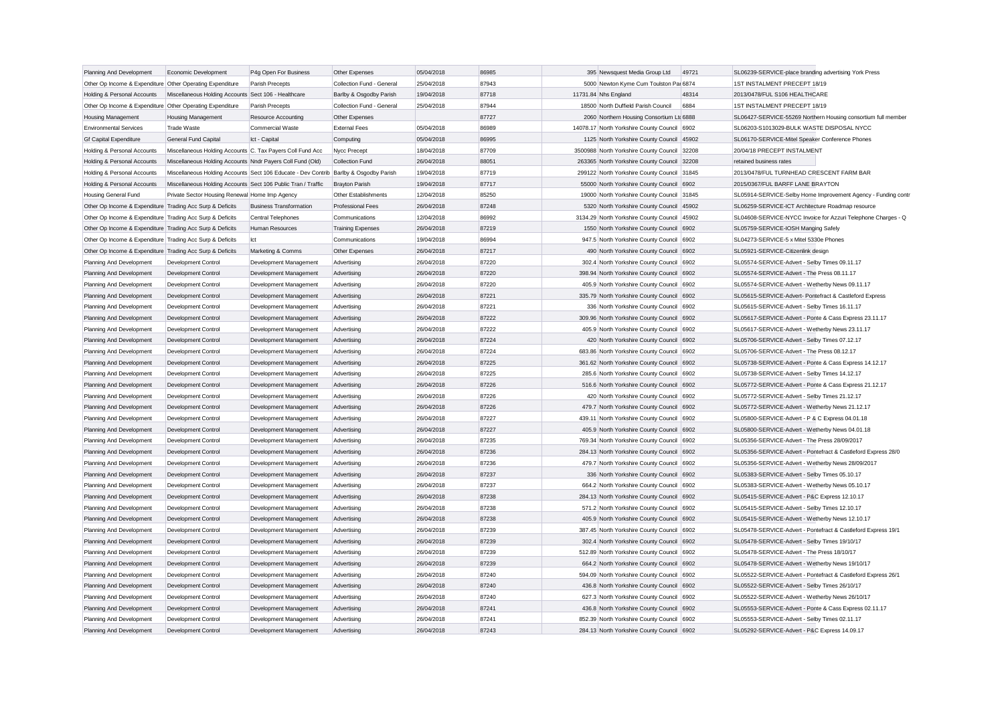| Planning And Development                                  | Economic Development                                          | P4g Open For Business                                                                 | Other Expenses            | 05/04/2018               | 86985 | 395 Newsquest Media Group Ltd                                                          | 49721 | SL06239-SERVICE-place branding advertising York Press                                            |
|-----------------------------------------------------------|---------------------------------------------------------------|---------------------------------------------------------------------------------------|---------------------------|--------------------------|-------|----------------------------------------------------------------------------------------|-------|--------------------------------------------------------------------------------------------------|
| Other Op Income & Expenditure Other Operating Expenditure |                                                               | Parish Precepts                                                                       | Collection Fund - General | 25/04/2018               | 87943 | 5000 Newton Kyme Cum Toulston Par 6874                                                 |       | 1ST INSTALMENT PRECEPT 18/19                                                                     |
| Holding & Personal Accounts                               | Miscellaneous Holding Accounts Sect 106 - Healthcare          |                                                                                       | Barlby & Osgodby Parish   | 19/04/2018               | 87718 | 11731.84 Nhs England                                                                   | 48314 | 2013/0478/FUL S106 HEALTHCARE                                                                    |
| Other Op Income & Expenditure Other Operating Expenditure |                                                               | Parish Precepts                                                                       | Collection Fund - General | 25/04/2018               | 87944 | 18500 North Duffield Parish Council                                                    | 6884  | 1ST INSTALMENT PRECEPT 18/19                                                                     |
| <b>Housing Management</b>                                 | <b>Housing Management</b>                                     | Resource Accounting                                                                   | Other Expenses            |                          | 87727 | 2060 Northern Housing Consortium Ltd 6888                                              |       | SL06427-SERVICE-55269 Northern Housing consortium full member                                    |
| <b>Environmental Services</b>                             | <b>Trade Waste</b>                                            | Commercial Waste                                                                      | <b>External Fees</b>      | 05/04/2018               | 86989 | 14078.17 North Yorkshire County Council 6902                                           |       | SL06203-S1013029-BULK WASTE DISPOSAL NYCC                                                        |
| <b>Gf Capital Expenditure</b>                             | General Fund Capital                                          | Ict - Capital                                                                         | Computing                 | 05/04/2018               | 86995 | 1125 North Yorkshire County Council                                                    | 45902 | SL06170-SERVICE-Mitel Speaker Conference Phones                                                  |
| Holding & Personal Accounts                               | Miscellaneous Holding Accounts C. Tax Payers Coll Fund Acc    |                                                                                       | Nycc Precept              | 18/04/2018               | 87709 | 3500988 North Yorkshire County Council                                                 | 32208 | 20/04/18 PRECEPT INSTALMENT                                                                      |
| Holding & Personal Accounts                               | Miscellaneous Holding Accounts Nndr Payers Coll Fund (Old)    |                                                                                       | <b>Collection Fund</b>    | 26/04/2018               | 88051 | 263365 North Yorkshire County Council                                                  | 32208 | retained business rates                                                                          |
| Holding & Personal Accounts                               |                                                               | Miscellaneous Holding Accounts Sect 106 Educate - Dev Contrib Barlby & Osgodby Parish |                           | 19/04/2018               | 87719 | 299122 North Yorkshire County Council 31845                                            |       | 2013/0478/FUL TURNHEAD CRESCENT FARM BAR                                                         |
| Holding & Personal Accounts                               | Miscellaneous Holding Accounts Sect 106 Public Tran / Traffic |                                                                                       | <b>Brayton Parish</b>     | 19/04/2018               | 87717 | 55000 North Yorkshire County Council 6902                                              |       | 2015/0367/FUL BARFF LANE BRAYTON                                                                 |
| <b>Housing General Fund</b>                               | Private Sector Housing Renewal Home Imp Agency                |                                                                                       | Other Establishments      | 12/04/2018               | 85250 | 19000 North Yorkshire County Council 31845                                             |       | SL05914-SERVICE-Selby Home Improvement Agency - Funding contr                                    |
| Other Op Income & Expenditure Trading Acc Surp & Deficits |                                                               | <b>Business Transformation</b>                                                        | <b>Professional Fees</b>  | 26/04/2018               | 87248 | 5320 North Yorkshire County Council                                                    | 45902 | SL06259-SERVICE-ICT Architecture Roadmap resource                                                |
| Other Op Income & Expenditure Trading Acc Surp & Deficits |                                                               | Central Telephones                                                                    | Communications            | 12/04/2018               | 86992 | 3134.29 North Yorkshire County Council                                                 | 45902 | SL04608-SERVICE-NYCC Invoice for Azzuri Telephone Charges - Q                                    |
| Other Op Income & Expenditure Trading Acc Surp & Deficits |                                                               | Human Resources                                                                       | <b>Training Expenses</b>  | 26/04/2018               | 87219 | 1550 North Yorkshire County Council 6902                                               |       | SL05759-SERVICE-IOSH Manging Safely                                                              |
| Other Op Income & Expenditure Trading Acc Surp & Deficits |                                                               | Ict                                                                                   | Communications            | 19/04/2018               | 86994 | 947.5 North Yorkshire County Council 6902                                              |       | SL04273-SERVICE-5 x Mitel 5330e Phones                                                           |
| Other Op Income & Expenditure Trading Acc Surp & Deficits |                                                               | Marketing & Comms                                                                     | Other Expenses            | 26/04/2018               | 87217 | 490 North Yorkshire County Council 6902                                                |       | SL05921-SERVICE-Citizenlink design                                                               |
| Planning And Development                                  | Development Control                                           | Development Management                                                                | Advertising               | 26/04/2018               | 87220 | 302.4 North Yorkshire County Council                                                   | 6902  | SL05574-SERVICE-Advert - Selby Times 09.11.17                                                    |
| Planning And Development                                  | <b>Development Control</b>                                    | Development Management                                                                | Advertising               | 26/04/2018               | 87220 | 398.94 North Yorkshire County Council 6902                                             |       | SL05574-SERVICE-Advert - The Press 08.11.17                                                      |
| Planning And Development                                  | <b>Development Control</b>                                    | Development Management                                                                | Advertising               | 26/04/2018               | 87220 | 405.9 North Yorkshire County Council                                                   | 6902  | SL05574-SERVICE-Advert - Wetherby News 09.11.17                                                  |
| Planning And Development                                  | <b>Development Control</b>                                    | Development Management                                                                | Advertising               | 26/04/2018               | 87221 | 335.79 North Yorkshire County Council 6902                                             |       | SL05615-SERVICE-Advert- Pontefract & Castleford Express                                          |
| Planning And Development                                  | Development Control                                           | Development Management                                                                | Advertising               | 26/04/2018               | 87221 | 336 North Yorkshire County Council                                                     | 6902  | SL05615-SERVICE-Advert - Selby Times 16.11.17                                                    |
| Planning And Development                                  | <b>Development Control</b>                                    | Development Management                                                                | Advertising               | 26/04/2018               | 87222 | 309.96 North Yorkshire County Council                                                  | 6902  | SL05617-SERVICE-Advert - Ponte & Cass Express 23.11.17                                           |
| Planning And Development                                  | Development Control                                           | Development Management                                                                | Advertising               | 26/04/2018               | 87222 | 405.9 North Yorkshire County Council                                                   | 6902  | SL05617-SERVICE-Advert - Wetherby News 23.11.17                                                  |
| Planning And Development                                  | <b>Development Control</b>                                    | Development Management                                                                | Advertising               | 26/04/2018               | 87224 | 420 North Yorkshire County Council 6902                                                |       | SL05706-SERVICE-Advert - Selby Times 07.12.17                                                    |
| Planning And Development                                  | Development Control                                           | Development Management                                                                | Advertising               | 26/04/2018               | 87224 | 683.86 North Yorkshire County Council 6902                                             |       | SL05706-SERVICE-Advert - The Press 08.12.17                                                      |
| Planning And Development                                  | <b>Development Control</b>                                    | Development Management                                                                | Advertising               | 26/04/2018               | 87225 | 361.62 North Yorkshire County Council 6902                                             |       | SL05738-SERVICE-Advert - Ponte & Cass Express 14.12.17                                           |
| Planning And Development                                  | <b>Development Control</b>                                    | Development Management                                                                | Advertising               | 26/04/2018               | 87225 | 285.6 North Yorkshire County Council 6902                                              |       | SL05738-SERVICE-Advert - Selby Times 14.12.17                                                    |
| Planning And Development                                  | <b>Development Control</b>                                    | Development Management                                                                | Advertising               | 26/04/2018               | 87226 | 516.6 North Yorkshire County Council 6902                                              |       | SL05772-SERVICE-Advert - Ponte & Cass Express 21.12.17                                           |
| Planning And Development                                  | Development Control                                           | Development Management                                                                | Advertising               | 26/04/2018               | 87226 | 420 North Yorkshire County Council 6902                                                |       | SL05772-SERVICE-Advert - Selby Times 21.12.17                                                    |
| Planning And Development                                  | <b>Development Control</b>                                    | Development Management                                                                | Advertising               | 26/04/2018               | 87226 | 479.7 North Yorkshire County Council 6902                                              |       | SL05772-SERVICE-Advert - Wetherby News 21.12.17                                                  |
| Planning And Development                                  | <b>Development Control</b>                                    | Development Management                                                                | Advertising               | 26/04/2018               | 87227 | 439.11 North Yorkshire County Council 6902                                             |       | SL05800-SERVICE-Advert - P & C Express 04.01.18                                                  |
| Planning And Development                                  | <b>Development Control</b>                                    | Development Management                                                                | Advertising               | 26/04/2018               | 87227 | 405.9 North Yorkshire County Council                                                   | 6902  | SL05800-SERVICE-Advert - Wetherby News 04.01.18                                                  |
| Planning And Development                                  | Development Control                                           | Development Management                                                                | Advertising               | 26/04/2018               | 87235 | 769.34 North Yorkshire County Council 6902                                             |       | SL05356-SERVICE-Advert - The Press 28/09/2017                                                    |
| Planning And Development                                  | <b>Development Control</b>                                    | Development Management                                                                | Advertising               | 26/04/2018               | 87236 | 284.13 North Yorkshire County Council                                                  | 6902  | SL05356-SERVICE-Advert - Pontefract & Castleford Express 28/0                                    |
| Planning And Development                                  | Development Control                                           | Development Management                                                                | Advertising               | 26/04/2018               | 87236 | 479.7 North Yorkshire County Council 6902                                              |       | SL05356-SERVICE-Advert - Wetherby News 28/09/2017                                                |
| Planning And Development                                  | <b>Development Control</b>                                    | Development Management                                                                | Advertising               | 26/04/2018               | 87237 | 336 North Yorkshire County Council                                                     | 6902  | SL05383-SERVICE-Advert - Selby Times 05.10.17                                                    |
|                                                           | <b>Development Control</b>                                    |                                                                                       |                           | 26/04/2018               | 87237 | 664.2 North Yorkshire County Council 6902                                              |       | SL05383-SERVICE-Advert - Wetherby News 05.10.17                                                  |
| Planning And Development                                  | Development Control                                           | Development Management                                                                | Advertising               | 26/04/2018               | 87238 | 284.13 North Yorkshire County Council                                                  | 6902  | SL05415-SERVICE-Advert - P&C Express 12.10.17                                                    |
| Planning And Development                                  |                                                               | Development Management                                                                | Advertising               |                          | 87238 |                                                                                        |       |                                                                                                  |
| Planning And Development                                  | <b>Development Control</b><br>Development Control             | Development Management<br>Development Management                                      | Advertising               | 26/04/2018<br>26/04/2018 | 87238 | 571.2 North Yorkshire County Council 6902<br>405.9 North Yorkshire County Council 6902 |       | SL05415-SERVICE-Advert - Selby Times 12.10.17<br>SL05415-SERVICE-Advert - Wetherby News 12.10.17 |
| Planning And Development                                  |                                                               |                                                                                       | Advertising               |                          |       |                                                                                        |       |                                                                                                  |
| Planning And Development                                  | Development Control                                           | Development Management                                                                | Advertising               | 26/04/2018               | 87239 | 387.45 North Yorkshire County Council 6902                                             |       | SL05478-SERVICE-Advert - Pontefract & Castleford Express 19/1                                    |
| Planning And Development                                  | <b>Development Control</b>                                    | Development Management                                                                | Advertising               | 26/04/2018               | 87239 | 302.4 North Yorkshire County Council 6902                                              |       | SL05478-SERVICE-Advert - Selby Times 19/10/17                                                    |
| Planning And Development                                  | <b>Development Control</b>                                    | Development Management                                                                | Advertising               | 26/04/2018               | 87239 | 512.89 North Yorkshire County Council 6902                                             |       | SL05478-SERVICE-Advert - The Press 18/10/17                                                      |
| Planning And Development                                  | <b>Development Control</b>                                    | Development Management                                                                | Advertising               | 26/04/2018               | 87239 | 664.2 North Yorkshire County Council 6902                                              |       | SL05478-SERVICE-Advert - Wetherby News 19/10/17                                                  |
| Planning And Development                                  | <b>Development Control</b>                                    | Development Management                                                                | Advertising               | 26/04/2018               | 87240 | 594.09 North Yorkshire County Council 6902                                             |       | SL05522-SERVICE-Advert - Pontefract & Castleford Express 26/1                                    |
| Planning And Development                                  | <b>Development Control</b>                                    | Development Management                                                                | Advertising               | 26/04/2018               | 87240 | 436.8 North Yorkshire County Council                                                   | 6902  | SL05522-SERVICE-Advert - Selby Times 26/10/17                                                    |
| Planning And Development                                  | <b>Development Control</b>                                    | Development Management                                                                | Advertising               | 26/04/2018               | 87240 | 627.3 North Yorkshire County Council                                                   | 6902  | SL05522-SERVICE-Advert - Wetherby News 26/10/17                                                  |
| Planning And Development                                  | <b>Development Control</b>                                    | Development Management                                                                | Advertising               | 26/04/2018               | 87241 | 436.8 North Yorkshire County Council                                                   | 6902  | SL05553-SERVICE-Advert - Ponte & Cass Express 02.11.17                                           |
| Planning And Development                                  | <b>Development Control</b>                                    | Development Management                                                                | Advertising               | 26/04/2018               | 87241 | 852.39 North Yorkshire County Council                                                  | 6902  | SL05553-SERVICE-Advert - Selby Times 02.11.17                                                    |
| Planning And Development                                  | <b>Development Control</b>                                    | Development Management                                                                | Advertising               | 26/04/2018               | 87243 | 284.13 North Yorkshire County Council                                                  | 6902  | SL05292-SERVICE-Advert - P&C Express 14.09.17                                                    |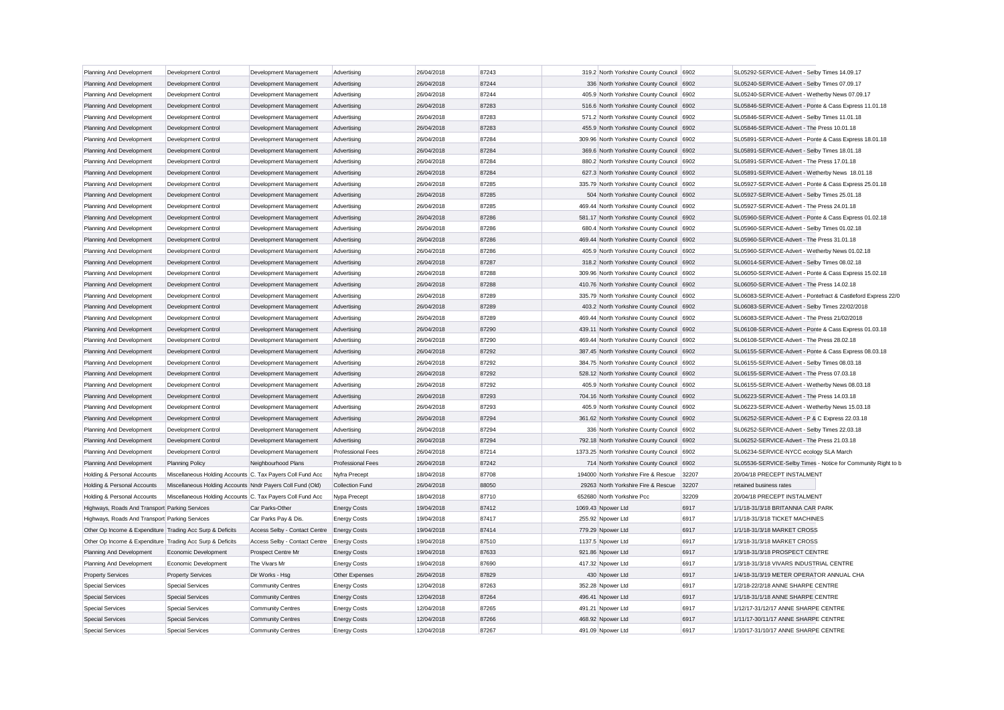| Planning And Development                                  | Development Control                                        | Development Management                     | Advertising              | 26/04/2018 | 87243 | 319.2 North Yorkshire County Council 6902   |       | SL05292-SERVICE-Advert - Selby Times 14.09.17                 |
|-----------------------------------------------------------|------------------------------------------------------------|--------------------------------------------|--------------------------|------------|-------|---------------------------------------------|-------|---------------------------------------------------------------|
| Planning And Development                                  | Development Control                                        | Development Management                     | Advertising              | 26/04/2018 | 87244 | 336 North Yorkshire County Council 6902     |       | SL05240-SERVICE-Advert - Selby Times 07.09.17                 |
| Planning And Development                                  | Development Control                                        | Development Management                     | Advertising              | 26/04/2018 | 87244 | 405.9 North Yorkshire County Council 6902   |       | SL05240-SERVICE-Advert - Wetherby News 07.09.17               |
| Planning And Development                                  | Development Control                                        | Development Management                     | Advertising              | 26/04/2018 | 87283 | 516.6 North Yorkshire County Council 6902   |       | SL05846-SERVICE-Advert - Ponte & Cass Express 11.01.18        |
| Planning And Development                                  | Development Control                                        | Development Management                     | Advertising              | 26/04/2018 | 87283 | 571.2 North Yorkshire County Council 6902   |       | SL05846-SERVICE-Advert - Selby Times 11.01.18                 |
| Planning And Development                                  | Development Control                                        | Development Management                     | Advertising              | 26/04/2018 | 87283 | 455.9 North Yorkshire County Council 6902   |       | SL05846-SERVICE-Advert - The Press 10.01.18                   |
| Planning And Development                                  | Development Control                                        | Development Management                     | Advertising              | 26/04/2018 | 87284 | 309.96 North Yorkshire County Council 6902  |       | SL05891-SERVICE-Advert - Ponte & Cass Express 18.01.18        |
| Planning And Development                                  | Development Control                                        | Development Management                     | Advertising              | 26/04/2018 | 87284 | 369.6 North Yorkshire County Council 6902   |       | SL05891-SERVICE-Advert - Selby Times 18.01.18                 |
| Planning And Development                                  | Development Control                                        | Development Management                     | Advertising              | 26/04/2018 | 87284 | 880.2 North Yorkshire County Council 6902   |       | SL05891-SERVICE-Advert - The Press 17.01.18                   |
| Planning And Development                                  | Development Control                                        | Development Management                     | Advertising              | 26/04/2018 | 87284 | 627.3 North Yorkshire County Council 6902   |       | SL05891-SERVICE-Advert - Wetherby News 18.01.18               |
| Planning And Development                                  | Development Control                                        | Development Management                     | Advertising              | 26/04/2018 | 87285 | 335.79 North Yorkshire County Council 6902  |       | SL05927-SERVICE-Advert - Ponte & Cass Express 25.01.18        |
| Planning And Development                                  | Development Control                                        | Development Management                     | Advertising              | 26/04/2018 | 87285 | 504 North Yorkshire County Council 6902     |       | SL05927-SERVICE-Advert - Selby Times 25.01.18                 |
| Planning And Development                                  | Development Control                                        | Development Management                     | Advertising              | 26/04/2018 | 87285 | 469.44 North Yorkshire County Council 6902  |       | SL05927-SERVICE-Advert - The Press 24.01.18                   |
| Planning And Development                                  | Development Control                                        | Development Management                     | Advertising              | 26/04/2018 | 87286 | 581.17 North Yorkshire County Council 6902  |       | SL05960-SERVICE-Advert - Ponte & Cass Express 01.02.18        |
| Planning And Development                                  | Development Control                                        | Development Management                     | Advertising              | 26/04/2018 | 87286 | 680.4 North Yorkshire County Council 6902   |       | SL05960-SERVICE-Advert - Selby Times 01.02.18                 |
| Planning And Development                                  | Development Control                                        | Development Management                     | Advertising              | 26/04/2018 | 87286 | 469.44 North Yorkshire County Council 6902  |       | SL05960-SERVICE-Advert - The Press 31.01.18                   |
| Planning And Development                                  | Development Control                                        | Development Management                     | Advertising              | 26/04/2018 | 87286 | 405.9 North Yorkshire County Council 6902   |       | SL05960-SERVICE-Advert - Wetherby News 01.02.18               |
| Planning And Development                                  | <b>Development Control</b>                                 | Development Management                     | Advertising              | 26/04/2018 | 87287 | 318.2 North Yorkshire County Council 6902   |       | SL06014-SERVICE-Advert - Selby Times 08.02.18                 |
| Planning And Development                                  | Development Control                                        | Development Management                     | Advertising              | 26/04/2018 | 87288 | 309.96 North Yorkshire County Council 6902  |       | SL06050-SERVICE-Advert - Ponte & Cass Express 15.02.18        |
| Planning And Development                                  | Development Control                                        | Development Management                     | Advertising              | 26/04/2018 | 87288 | 410.76 North Yorkshire County Council 6902  |       | SL06050-SERVICE-Advert - The Press 14.02.18                   |
| Planning And Development                                  | Development Control                                        | Development Management                     | Advertising              | 26/04/2018 | 87289 | 335.79 North Yorkshire County Council 6902  |       | SL06083-SERVICE-Advert - Pontefract & Castleford Express 22/0 |
| Planning And Development                                  | Development Control                                        | Development Management                     | Advertising              | 26/04/2018 | 87289 | 403.2 North Yorkshire County Council 6902   |       | SL06083-SERVICE-Advert - Selby Times 22/02/2018               |
| Planning And Development                                  | Development Control                                        | Development Management                     | Advertising              | 26/04/2018 | 87289 | 469.44 North Yorkshire County Council 6902  |       | SL06083-SERVICE-Advert - The Press 21/02/2018                 |
| Planning And Development                                  | <b>Development Control</b>                                 | Development Management                     | Advertising              | 26/04/2018 | 87290 | 439.11 North Yorkshire County Council 6902  |       | SL06108-SERVICE-Advert - Ponte & Cass Express 01.03.18        |
| Planning And Development                                  | Development Control                                        | Development Management                     | Advertising              | 26/04/2018 | 87290 | 469.44 North Yorkshire County Council 6902  |       | SL06108-SERVICE-Advert - The Press 28.02.18                   |
| Planning And Development                                  | Development Control                                        | Development Management                     | Advertising              | 26/04/2018 | 87292 | 387.45 North Yorkshire County Council 6902  |       | SL06155-SERVICE-Advert - Ponte & Cass Express 08.03.18        |
| Planning And Development                                  | Development Control                                        | Development Management                     | Advertising              | 26/04/2018 | 87292 | 384.75 North Yorkshire County Council 6902  |       | SL06155-SERVICE-Advert - Selby Times 08.03.18                 |
| Planning And Development                                  | Development Control                                        | Development Management                     | Advertising              | 26/04/2018 | 87292 | 528.12 North Yorkshire County Council 6902  |       | SL06155-SERVICE-Advert - The Press 07.03.18                   |
| Planning And Development                                  | Development Control                                        | Development Management                     | Advertising              | 26/04/2018 | 87292 | 405.9 North Yorkshire County Council 6902   |       | SL06155-SERVICE-Advert - Wetherby News 08.03.18               |
| Planning And Development                                  | Development Control                                        | Development Management                     | Advertising              | 26/04/2018 | 87293 | 704.16 North Yorkshire County Council 6902  |       | SL06223-SERVICE-Advert - The Press 14.03.18                   |
| Planning And Development                                  | Development Control                                        | Development Management                     | Advertising              | 26/04/2018 | 87293 | 405.9 North Yorkshire County Council 6902   |       | SL06223-SERVICE-Advert - Wetherby News 15.03.18               |
| Planning And Development                                  | Development Control                                        | Development Management                     | Advertising              | 26/04/2018 | 87294 | 361.62 North Yorkshire County Council 6902  |       | SL06252-SERVICE-Advert - P & C Express 22.03.18               |
| Planning And Development                                  | Development Control                                        | Development Management                     | Advertising              | 26/04/2018 | 87294 | 336 North Yorkshire County Council 6902     |       | SL06252-SERVICE-Advert - Selby Times 22.03.18                 |
| Planning And Development                                  | Development Control                                        | Development Management                     | Advertising              | 26/04/2018 | 87294 | 792.18 North Yorkshire County Council 6902  |       | SL06252-SERVICE-Advert - The Press 21.03.18                   |
| Planning And Development                                  | Development Control                                        | Development Management                     | <b>Professional Fees</b> | 26/04/2018 | 87214 | 1373.25 North Yorkshire County Council 6902 |       | SL06234-SERVICE-NYCC ecology SLA March                        |
| Planning And Development                                  | <b>Planning Policy</b>                                     | Neighbourhood Plans                        | <b>Professional Fees</b> | 26/04/2018 | 87242 | 714 North Yorkshire County Council 6902     |       | SL05536-SERVICE-Selby Times - Notice for Community Right to b |
| Holding & Personal Accounts                               | Miscellaneous Holding Accounts C. Tax Payers Coll Fund Acc |                                            | Nyfra Precept            | 18/04/2018 | 87708 | 194000 North Yorkshire Fire & Rescue        | 32207 | 20/04/18 PRECEPT INSTALMENT                                   |
| Holding & Personal Accounts                               | Miscellaneous Holding Accounts Nndr Payers Coll Fund (Old) |                                            | <b>Collection Fund</b>   | 26/04/2018 | 88050 | 29263 North Yorkshire Fire & Rescue         | 32207 | retained business rates                                       |
| Holding & Personal Accounts                               | Miscellaneous Holding Accounts C. Tax Payers Coll Fund Acc |                                            | Nypa Precept             | 18/04/2018 | 87710 | 652680 North Yorkshire Pcc                  | 32209 | 20/04/18 PRECEPT INSTALMENT                                   |
| Highways, Roads And Transport Parking Services            |                                                            | Car Parks-Other                            | <b>Energy Costs</b>      | 19/04/2018 | 87412 | 1069.43 Npower Ltd                          | 6917  | 1/1/18-31/3/18 BRITANNIA CAR PARK                             |
| Highways, Roads And Transport Parking Services            |                                                            | Car Parks Pay & Dis.                       | <b>Energy Costs</b>      | 19/04/2018 | 87417 | 255.92 Npower Ltd                           | 6917  | 1/1/18-31/3/18 TICKET MACHINES                                |
| Other Op Income & Expenditure Trading Acc Surp & Deficits |                                                            | Access Selby - Contact Centre Energy Costs |                          | 19/04/2018 | 87414 | 779.29 Npower Ltd                           | 6917  | 1/1/18-31/3/18 MARKET CROSS                                   |
| Other Op Income & Expenditure Trading Acc Surp & Deficits |                                                            | Access Selby - Contact Centre Energy Costs |                          | 19/04/2018 | 87510 | 1137.5 Npower Ltd                           | 6917  | 1/3/18-31/3/18 MARKET CROSS                                   |
| Planning And Development                                  | Economic Development                                       | Prospect Centre Mr                         | <b>Energy Costs</b>      | 19/04/2018 | 87633 | 921.86 Npower Ltd                           | 6917  | 1/3/18-31/3/18 PROSPECT CENTRE                                |
| Planning And Development                                  | Economic Development                                       | The Vivars Mr                              | <b>Energy Costs</b>      | 19/04/2018 | 87690 | 417.32 Npower Ltd                           | 6917  | 1/3/18-31/3/18 VIVARS INDUSTRIAL CENTRE                       |
| <b>Property Services</b>                                  | <b>Property Services</b>                                   | Dir Works - Hsa                            | Other Expenses           | 26/04/2018 | 87829 | 430 Npower Ltd                              | 6917  | 1/4/18-31/3/19 METER OPERATOR ANNUAL CHA                      |
| <b>Special Services</b>                                   | <b>Special Services</b>                                    | <b>Community Centres</b>                   | <b>Energy Costs</b>      | 12/04/2018 | 87263 | 352.28 Npower Ltd                           | 6917  | 1/2/18-22/2/18 ANNE SHARPE CENTRE                             |
| <b>Special Services</b>                                   | <b>Special Services</b>                                    | <b>Community Centres</b>                   | <b>Energy Costs</b>      | 12/04/2018 | 87264 | 496.41 Npower Ltd                           | 6917  | 1/1/18-31/1/18 ANNE SHARPE CENTRE                             |
| <b>Special Services</b>                                   | <b>Special Services</b>                                    | <b>Community Centres</b>                   | <b>Energy Costs</b>      | 12/04/2018 | 87265 | 491.21 Npower Ltd                           | 6917  | 1/12/17-31/12/17 ANNE SHARPE CENTRE                           |
| <b>Special Services</b>                                   | <b>Special Services</b>                                    | <b>Community Centres</b>                   | <b>Energy Costs</b>      | 12/04/2018 | 87266 | 468.92 Npower Ltd                           | 6917  | 1/11/17-30/11/17 ANNE SHARPE CENTRE                           |
| <b>Special Services</b>                                   | Special Services                                           | <b>Community Centres</b>                   | <b>Energy Costs</b>      | 12/04/2018 | 87267 | 491.09 Noower Ltd                           | 6917  | 1/10/17-31/10/17 ANNE SHARPE CENTRE                           |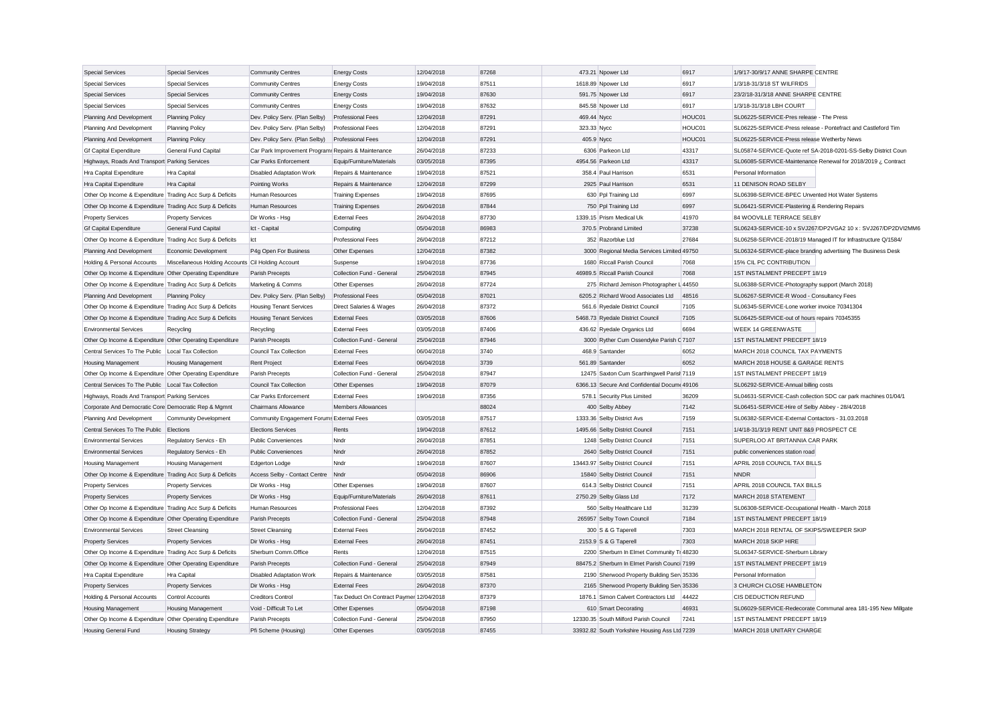| <b>Special Services</b>                                   | <b>Special Services</b>                            | <b>Community Centres</b>                            | <b>Energy Costs</b>                      | 12/04/2018 | 87268 | 473.21 Npower Ltd                             | 6917   | 1/9/17-30/9/17 ANNE SHARPE CENTRE                             |
|-----------------------------------------------------------|----------------------------------------------------|-----------------------------------------------------|------------------------------------------|------------|-------|-----------------------------------------------|--------|---------------------------------------------------------------|
| <b>Special Services</b>                                   | Special Services                                   | <b>Community Centres</b>                            | <b>Energy Costs</b>                      | 19/04/2018 | 87511 | 1618.89 Npower Ltd                            | 6917   | 1/3/18-31/3/18 ST WILFRIDS                                    |
| <b>Special Services</b>                                   | <b>Special Services</b>                            | <b>Community Centres</b>                            | <b>Energy Costs</b>                      | 19/04/2018 | 87630 | 591.75 Npower Ltd                             | 6917   | 23/2/18-31/3/18 ANNE SHARPE CENTRE                            |
| <b>Special Services</b>                                   | <b>Special Services</b>                            | <b>Community Centres</b>                            | <b>Energy Costs</b>                      | 19/04/2018 | 87632 | 845.58 Npower Ltd                             | 6917   | 1/3/18-31/3/18 LBH COURT                                      |
| Planning And Development                                  | <b>Planning Policy</b>                             | Dev. Policy Serv. (Plan Selby)                      | <b>Professional Fees</b>                 | 12/04/2018 | 87291 | 469.44 Nycc                                   | HOUC01 | SL06225-SERVICE-Pres release - The Press                      |
| Planning And Development                                  | <b>Planning Policy</b>                             | Dev. Policy Serv. (Plan Selby)                      | Professional Fees                        | 12/04/2018 | 87291 | 323.33 Nycc                                   | HOUC01 | SL06225-SERVICE-Press release - Pontefract and Castleford Tim |
| Planning And Development                                  | <b>Planning Policy</b>                             | Dev. Policy Serv. (Plan Selby)                      | <b>Professional Fees</b>                 | 12/04/2018 | 87291 | 405.9 Nycc                                    | HOUC01 | SL06225-SERVICE-Press release Wetherby News                   |
| <b>Gf Capital Expenditure</b>                             | General Fund Capital                               | Car Park Improvement Program: Repairs & Maintenance |                                          | 26/04/2018 | 87233 | 6306 Parkeon Ltd                              | 43317  | SL05874-SERVICE-Quote ref SA-2018-0201-SS-Selby District Coun |
| Highways, Roads And Transport Parking Services            |                                                    | Car Parks Enforcement                               | Equip/Furniture/Materials                | 03/05/2018 | 87395 | 4954.56 Parkeon Ltd                           | 43317  | SL06085-SERVICE-Maintenance Renewal for 2018/2019 ¿ Contract  |
| Hra Capital Expenditure                                   | Hra Capital                                        | <b>Disabled Adaptation Work</b>                     | Repairs & Maintenance                    | 19/04/2018 | 87521 | 358.4 Paul Harrison                           | 6531   | Personal Information                                          |
| Hra Capital Expenditure                                   | Hra Capital                                        | Pointing Works                                      | Repairs & Maintenance                    | 12/04/2018 | 87299 | 2925 Paul Harrison                            | 6531   | 11 DENISON ROAD SELBY                                         |
| Other Op Income & Expenditure Trading Acc Surp & Deficits |                                                    | Human Resources                                     | <b>Training Expenses</b>                 | 19/04/2018 | 87695 | 630 Ppl Training Ltd                          | 6997   | SL06398-SERVICE-BPEC Unvented Hot Water Systems               |
| Other Op Income & Expenditure Trading Acc Surp & Deficits |                                                    | Human Resources                                     | <b>Training Expenses</b>                 | 26/04/2018 | 87844 | 750 Ppl Training Ltd                          | 6997   | SL06421-SERVICE-Plastering & Rendering Repairs                |
| <b>Property Services</b>                                  | <b>Property Services</b>                           | Dir Works - Hsg                                     | <b>External Fees</b>                     | 26/04/2018 | 87730 | 1339.15 Prism Medical Uk                      | 41970  | 84 WOOVILLE TERRACE SELBY                                     |
| <b>Gf Capital Expenditure</b>                             | General Fund Capital                               | Ict - Capital                                       | Computing                                | 05/04/2018 | 86983 | 370.5 Probrand Limited                        | 37238  | SL06243-SERVICE-10 x SVJ267/DP2VGA2 10 x : SVJ267/DP2DVI2MM6  |
| Other Op Income & Expenditure Trading Acc Surp & Deficits |                                                    | Ict                                                 | Professional Fees                        | 26/04/2018 | 87212 | 352 Razorblue Ltd                             | 27684  | SL06258-SERVICE-2018/19 Managed IT for Infrastructure Q/1584/ |
| Planning And Development                                  | Economic Development                               | P4g Open For Business                               | Other Expenses                           | 12/04/2018 | 87382 | 3000 Regional Media Services Limited 49750    |        | SL06324-SERVICE-place branding advertising The Business Desk  |
| Holding & Personal Accounts                               | Miscellaneous Holding Accounts Cil Holding Account |                                                     | Suspense                                 | 19/04/2018 | 87736 | 1680 Riccall Parish Council                   | 7068   | 15% CIL PC CONTRIBUTION                                       |
| Other Op Income & Expenditure Other Operating Expenditure |                                                    | Parish Precepts                                     | Collection Fund - General                | 25/04/2018 | 87945 | 46989.5 Riccall Parish Council                | 7068   | 1ST INSTALMENT PRECEPT 18/19                                  |
| Other Op Income & Expenditure Trading Acc Surp & Deficits |                                                    | Marketing & Comms                                   | Other Expenses                           | 26/04/2018 | 87724 | 275 Richard Jemison Photographer L 44550      |        | SL06388-SERVICE-Photography support (March 2018)              |
| Planning And Development                                  | <b>Planning Policy</b>                             | Dev. Policy Serv. (Plan Selby)                      | <b>Professional Fees</b>                 | 05/04/2018 | 87021 | 6205.2 Richard Wood Associates Ltd            | 48516  | SL06267-SERVICE-R Wood - Consultancy Fees                     |
| Other Op Income & Expenditure Trading Acc Surp & Deficits |                                                    | <b>Housing Tenant Services</b>                      | Direct Salaries & Wages                  | 26/04/2018 | 87372 | 561.6 Ryedale District Council                | 7105   | SL06345-SERVICE-Lone worker invoice 70341304                  |
| Other Op Income & Expenditure Trading Acc Surp & Deficits |                                                    | <b>Housing Tenant Services</b>                      | <b>External Fees</b>                     | 03/05/2018 | 87606 | 5468.73 Ryedale District Council              | 7105   | SL06425-SERVICE-out of hours repairs 70345355                 |
| <b>Environmental Services</b>                             | Recycling                                          | Recycling                                           | <b>External Fees</b>                     | 03/05/2018 | 87406 | 436.62 Ryedale Organics Ltd                   | 6694   | WEEK 14 GREENWASTE                                            |
| Other Op Income & Expenditure Other Operating Expenditure |                                                    | Parish Precepts                                     | Collection Fund - General                | 25/04/2018 | 87946 | 3000 Ryther Cum Ossendyke Parish C 7107       |        | 1ST INSTALMENT PRECEPT 18/19                                  |
| Central Services To The Public   Local Tax Collection     |                                                    | Council Tax Collection                              | <b>External Fees</b>                     | 06/04/2018 | 3740  | 468.9 Santander                               | 6052   | MARCH 2018 COUNCIL TAX PAYMENTS                               |
| <b>Housing Management</b>                                 | <b>Housing Management</b>                          | <b>Rent Project</b>                                 | <b>External Fees</b>                     | 06/04/2018 | 3739  | 561.89 Santander                              | 6052   | MARCH 2018 HOUSE & GARAGE RENTS                               |
| Other Op Income & Expenditure Other Operating Expenditure |                                                    | Parish Precepts                                     | Collection Fund - General                | 25/04/2018 | 87947 | 12475 Saxton Cum Scarthingwell Parist 7119    |        | 1ST INSTALMENT PRECEPT 18/19                                  |
| Central Services To The Public Local Tax Collection       |                                                    | Council Tax Collection                              | Other Expenses                           | 19/04/2018 | 87079 | 6366.13 Secure And Confidential Docume 49106  |        | SL06292-SERVICE-Annual billing costs                          |
| Highways, Roads And Transport Parking Services            |                                                    | Car Parks Enforcement                               | <b>External Fees</b>                     | 19/04/2018 | 87356 | 578.1 Security Plus Limited                   | 36209  | SL04631-SERVICE-Cash collection SDC car park machines 01/04/1 |
| Corporate And Democratic Core Democratic Rep & Mgmnt      |                                                    | Chairmans Allowance                                 | Members Allowances                       |            | 88024 | 400 Selby Abbey                               | 7142   | SL06451-SERVICE-Hire of Selby Abbey - 28/4/2018               |
| Planning And Development                                  | Community Development                              | Community Engagement Forums External Fees           |                                          | 03/05/2018 | 87517 | 1333.36 Selby District Avs                    | 7159   | SL06382-SERVICE-External Contactors - 31.03.2018              |
| Central Services To The Public                            | Elections                                          | <b>Elections Services</b>                           | Rents                                    | 19/04/2018 | 87612 | 1495.66 Selby District Council                | 7151   | 1/4/18-31/3/19 RENT UNIT 8&9 PROSPECT CE                      |
| <b>Environmental Services</b>                             | Regulatory Servics - Eh                            | <b>Public Conveniences</b>                          | Nndr                                     | 26/04/2018 | 87851 | 1248 Selby District Council                   | 7151   | SUPERLOO AT BRITANNIA CAR PARK                                |
| <b>Environmental Services</b>                             | Regulatory Servics - Eh                            | <b>Public Conveniences</b>                          | Nndr                                     | 26/04/2018 | 87852 | 2640 Selby District Council                   | 7151   | public conveniences station road                              |
| <b>Housing Management</b>                                 | <b>Housing Management</b>                          | Edgerton Lodge                                      | Nndr                                     | 19/04/2018 | 87607 | 13443.97 Selby District Council               | 7151   | APRIL 2018 COUNCIL TAX BILLS                                  |
| Other Op Income & Expenditure Trading Acc Surp & Deficits |                                                    | Access Selby - Contact Centre                       | Nndr                                     | 05/04/2018 | 86906 | 15840 Selby District Council                  | 7151   | <b>NNDR</b>                                                   |
| <b>Property Services</b>                                  | <b>Property Services</b>                           | Dir Works - Hsg                                     | Other Expenses                           | 19/04/2018 | 87607 | 614.3 Selby District Council                  | 7151   | APRIL 2018 COUNCIL TAX BILLS                                  |
| <b>Property Services</b>                                  | <b>Property Services</b>                           | Dir Works - Hsg                                     | Equip/Furniture/Materials                | 26/04/2018 | 87611 | 2750.29 Selby Glass Ltd                       | 7172   | MARCH 2018 STATEMENT                                          |
| Other Op Income & Expenditure Trading Acc Surp & Deficits |                                                    | Human Resources                                     | <b>Professional Fees</b>                 | 12/04/2018 | 87392 | 560 Selby Healthcare Ltd                      | 31239  | SL06308-SERVICE-Occupational Health - March 2018              |
| Other Op Income & Expenditure Other Operating Expenditure |                                                    | Parish Precepts                                     | Collection Fund - General                | 25/04/2018 | 87948 | 265957 Selby Town Council                     | 7184   | 1ST INSTALMENT PRECEPT 18/19                                  |
| <b>Environmental Services</b>                             | <b>Street Cleansing</b>                            | <b>Street Cleansing</b>                             | <b>External Fees</b>                     | 26/04/2018 | 87452 | 300 S & G Taperell                            | 7303   | MARCH 2018 RENTAL OF SKIPS/SWEEPER SKIP                       |
| <b>Property Services</b>                                  | <b>Property Services</b>                           | Dir Works - Hsg                                     | <b>External Fees</b>                     | 26/04/2018 | 87451 | 2153.9 S & G Taperell                         | 7303   | MARCH 2018 SKIP HIRE                                          |
| Other Op Income & Expenditure Trading Acc Surp & Deficits |                                                    | Sherburn Comm.Office                                | Rents                                    | 12/04/2018 | 87515 | 2200 Sherburn In Elmet Community Tr 48230     |        | SL06347-SERVICE-Sherburn Library                              |
| Other Op Income & Expenditure Other Operating Expenditure |                                                    | Parish Precepts                                     | Collection Fund - General                | 25/04/2018 | 87949 | 88475.2 Sherburn In Elmet Parish Counci 7199  |        | 1ST INSTALMENT PRECEPT 18/19                                  |
| Hra Capital Expenditure                                   | Hra Capital                                        | <b>Disabled Adaptation Work</b>                     | Repairs & Maintenance                    | 03/05/2018 | 87581 | 2190 Sherwood Property Building Sen 35336     |        | Personal Information                                          |
| <b>Property Services</b>                                  | <b>Property Services</b>                           | Dir Works - Hsg                                     | <b>External Fees</b>                     | 26/04/2018 | 87370 | 2165 Sherwood Property Building Sen 35336     |        | 3 CHURCH CLOSE HAMBLETON                                      |
| Holding & Personal Accounts                               | Control Accounts                                   | <b>Creditors Control</b>                            | Tax Deduct On Contract Paymer 12/04/2018 |            | 87379 | 1876.1 Simon Calvert Contractors Ltd          | 44422  | CIS DEDUCTION REFUND                                          |
| <b>Housing Management</b>                                 | <b>Housing Management</b>                          | Void - Difficult To Let                             | Other Expenses                           | 05/04/2018 | 87198 | 610 Smart Decorating                          | 46931  | SL06029-SERVICE-Redecorate Communal area 181-195 New Millgate |
| Other Op Income & Expenditure Other Operating Expenditure |                                                    | Parish Precepts                                     | Collection Fund - General                | 25/04/2018 | 87950 | 12330.35 South Milford Parish Council         | 7241   | 1ST INSTALMENT PRECEPT 18/19                                  |
| <b>Housing General Fund</b>                               | <b>Housing Strategy</b>                            | Pfi Scheme (Housing)                                | Other Expenses                           | 03/05/2018 | 87455 | 33932.82 South Yorkshire Housing Ass Ltd 7239 |        | MARCH 2018 UNITARY CHARGE                                     |
|                                                           |                                                    |                                                     |                                          |            |       |                                               |        |                                                               |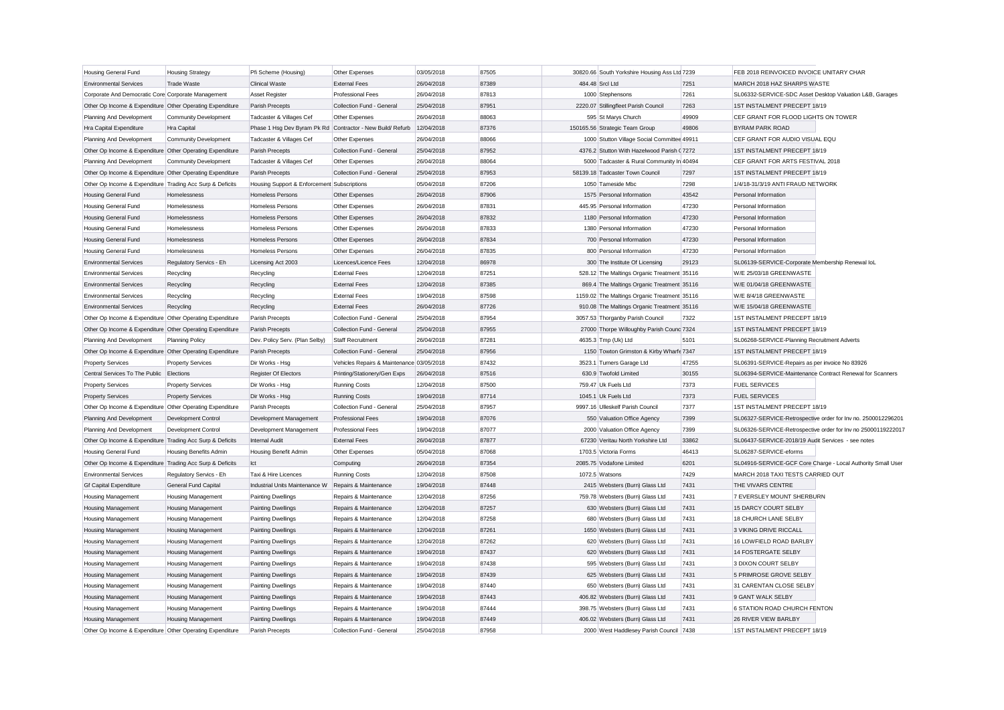| <b>Housing General Fund</b>                               | <b>Housing Strategy</b>      | Pfi Scheme (Housing)                                       | Other Expenses                            | 03/05/2018 | 87505 | 30820.66 South Yorkshire Housing Ass Ltd 7239                                              |       | FEB 2018 REINVOICED INVOICE UNITARY CHAR           |                                                               |
|-----------------------------------------------------------|------------------------------|------------------------------------------------------------|-------------------------------------------|------------|-------|--------------------------------------------------------------------------------------------|-------|----------------------------------------------------|---------------------------------------------------------------|
| <b>Environmental Services</b>                             | <b>Trade Waste</b>           | <b>Clinical Waste</b>                                      | <b>External Fees</b>                      | 26/04/2018 | 87389 | 484.48 Srcl Ltd                                                                            | 7251  | MARCH 2018 HAZ SHARPS WASTE                        |                                                               |
| Corporate And Democratic Core Corporate Management        |                              | <b>Asset Register</b>                                      | <b>Professional Fees</b>                  | 26/04/2018 | 87813 | 1000 Stephensons                                                                           | 7261  |                                                    | SL06332-SERVICE-SDC Asset Desktop Valuation L&B, Garages      |
| Other Op Income & Expenditure Other Operating Expenditure |                              | Parish Precepts                                            | Collection Fund - General                 | 25/04/2018 | 87951 | 2220.07 Stillingfleet Parish Council                                                       | 7263  | 1ST INSTALMENT PRECEPT 18/19                       |                                                               |
| Planning And Development                                  | Community Development        | Tadcaster & Villages Cef                                   | Other Expenses                            | 26/04/2018 | 88063 | 595 St Marys Church                                                                        | 49909 | CEF GRANT FOR FLOOD LIGHTS ON TOWER                |                                                               |
| Hra Capital Expenditure                                   | Hra Capital                  | Phase 1 Hsq Dev Byram Pk Rd Contractor - New Build/ Refurb |                                           | 12/04/2018 | 87376 | 150165.56 Strategic Team Group                                                             | 49806 | <b>BYRAM PARK ROAD</b>                             |                                                               |
| Planning And Development                                  | Community Development        | Tadcaster & Villages Cef                                   | Other Expenses                            | 26/04/2018 | 88066 | 1000 Stutton Village Social Committee 49911                                                |       | CEF GRANT FOR AUDIO VISUAL EQU                     |                                                               |
| Other Op Income & Expenditure Other Operating Expenditure |                              | Parish Precepts                                            | Collection Fund - General                 | 25/04/2018 | 87952 | 4376.2 Stutton With Hazelwood Parish (7272)                                                |       | 1ST INSTALMENT PRECEPT 18/19                       |                                                               |
| Planning And Development                                  | <b>Community Development</b> | Tadcaster & Villages Cef                                   | Other Expenses                            | 26/04/2018 | 88064 | 5000 Tadcaster & Rural Community In 40494                                                  |       | CEF GRANT FOR ARTS FESTIVAL 2018                   |                                                               |
| Other Op Income & Expenditure Other Operating Expenditure |                              | Parish Precepts                                            | Collection Fund - General                 | 25/04/2018 | 87953 | 58139.18 Tadcaster Town Council                                                            | 7297  | 1ST INSTALMENT PRECEPT 18/19                       |                                                               |
| Other Op Income & Expenditure Trading Acc Surp & Deficits |                              | Housing Support & Enforcement Subscriptions                |                                           | 05/04/2018 | 87206 | 1050 Tameside Mbc                                                                          | 7298  | 1/4/18-31/3/19 ANTI FRAUD NETWORK                  |                                                               |
| <b>Housing General Fund</b>                               | Homelessness                 | <b>Homeless Persons</b>                                    | Other Expenses                            | 26/04/2018 | 87906 | 1575 Personal Information                                                                  | 43542 | Personal Information                               |                                                               |
| Housing General Fund                                      | Homelessness                 | Homeless Persons                                           | Other Expenses                            | 26/04/2018 | 87831 | 445.95 Personal Information                                                                | 47230 | Personal Information                               |                                                               |
| Housing General Fund                                      | Homelessness                 | <b>Homeless Persons</b>                                    | Other Expenses                            | 26/04/2018 | 87832 | 1180 Personal Information                                                                  | 47230 | Personal Information                               |                                                               |
| <b>Housing General Fund</b>                               | Homelessness                 | <b>Homeless Persons</b>                                    | Other Expenses                            | 26/04/2018 | 87833 | 1380 Personal Information                                                                  | 47230 | Personal Information                               |                                                               |
| <b>Housing General Fund</b>                               | Homelessness                 | <b>Homeless Persons</b>                                    | Other Expenses                            | 26/04/2018 | 87834 | 700 Personal Information                                                                   | 47230 | Personal Information                               |                                                               |
| <b>Housing General Fund</b>                               | Homelessness                 | <b>Homeless Persons</b>                                    | Other Expenses                            | 26/04/2018 | 87835 | 800 Personal Information                                                                   | 47230 | Personal Information                               |                                                               |
| <b>Environmental Services</b>                             | Regulatory Servics - Eh      | Licensing Act 2003                                         | Licences/Licence Fees                     | 12/04/2018 | 86978 | 300 The Institute Of Licensing                                                             | 29123 | SL06139-SERVICE-Corporate Membership Renewal loL   |                                                               |
| <b>Environmental Services</b>                             | Recycling                    | Recycling                                                  | <b>External Fees</b>                      | 12/04/2018 | 87251 | 528.12 The Maltings Organic Treatment 35116                                                |       | W/E 25/03/18 GREENWASTE                            |                                                               |
| <b>Environmental Services</b>                             |                              |                                                            | <b>External Fees</b>                      | 12/04/2018 | 87385 |                                                                                            |       | W/E 01/04/18 GREENWASTE                            |                                                               |
| <b>Environmental Services</b>                             | Recycling                    | Recycling                                                  | <b>External Fees</b>                      | 19/04/2018 | 87598 | 869.4 The Maltings Organic Treatment 35116<br>1159.02 The Maltings Organic Treatment 35116 |       | W/E 8/4/18 GREENWASTE                              |                                                               |
| <b>Environmental Services</b>                             | Recycling                    | Recycling                                                  | <b>External Fees</b>                      | 26/04/2018 | 87726 |                                                                                            |       | W/E 15/04/18 GREENWASTE                            |                                                               |
|                                                           | Recycling                    | Recycling                                                  |                                           |            |       | 910.08 The Maltings Organic Treatment 35116                                                |       |                                                    |                                                               |
| Other Op Income & Expenditure Other Operating Expenditure |                              | Parish Precepts                                            | Collection Fund - General                 | 25/04/2018 | 87954 | 3057.53 Thorganby Parish Council                                                           | 7322  | 1ST INSTALMENT PRECEPT 18/19                       |                                                               |
| Other Op Income & Expenditure Other Operating Expenditure |                              | Parish Precepts                                            | Collection Fund - General                 | 25/04/2018 | 87955 | 27000 Thorpe Willoughby Parish Counc 7324                                                  |       | 1ST INSTALMENT PRECEPT 18/19                       |                                                               |
| Planning And Development                                  | <b>Planning Policy</b>       | Dev. Policy Serv. (Plan Selby)                             | Staff Recruitment                         | 26/04/2018 | 87281 | 4635.3 Tmp (Uk) Ltd                                                                        | 5101  | SL06268-SERVICE-Planning Recruitment Adverts       |                                                               |
| Other Op Income & Expenditure Other Operating Expenditure |                              | Parish Precepts                                            | Collection Fund - General                 | 25/04/2018 | 87956 | 1150 Towton Grimston & Kirby Wharfe 7347                                                   |       | 1ST INSTALMENT PRECEPT 18/19                       |                                                               |
| <b>Property Services</b>                                  | <b>Property Services</b>     | Dir Works - Hsg                                            | Vehicles Repairs & Maintenance 03/05/2018 |            | 87432 | 3523.1 Turners Garage Ltd                                                                  | 47255 | SL06391-SERVICE-Repairs as per invoice No 83926    |                                                               |
| Central Services To The Public Elections                  |                              | Register Of Electors                                       | Printing/Stationery/Gen Exps              | 26/04/2018 | 87516 | 630.9 Twofold Limited                                                                      | 30155 |                                                    | SL06394-SERVICE-Maintenance Contract Renewal for Scanners     |
| <b>Property Services</b>                                  | <b>Property Services</b>     | Dir Works - Hsg                                            | <b>Running Costs</b>                      | 12/04/2018 | 87500 | 759.47 Uk Fuels Ltd                                                                        | 7373  | <b>FUEL SERVICES</b>                               |                                                               |
| <b>Property Services</b>                                  | <b>Property Services</b>     | Dir Works - Hsg                                            | <b>Running Costs</b>                      | 19/04/2018 | 87714 | 1045.1 Uk Fuels Ltd                                                                        | 7373  | <b>FUEL SERVICES</b>                               |                                                               |
| Other Op Income & Expenditure Other Operating Expenditure |                              | Parish Precepts                                            | Collection Fund - General                 | 25/04/2018 | 87957 | 9997.16 Ulleskelf Parish Council                                                           | 7377  | 1ST INSTALMENT PRECEPT 18/19                       |                                                               |
| Planning And Development                                  | Development Control          | Development Management                                     | <b>Professional Fees</b>                  | 19/04/2018 | 87076 | 550 Valuation Office Agency                                                                | 7399  |                                                    | SL06327-SERVICE-Retrospective order for Inv no. 2500012296201 |
| Planning And Development                                  | Development Control          | Development Management                                     | <b>Professional Fees</b>                  | 19/04/2018 | 87077 | 2000 Valuation Office Agency                                                               | 7399  |                                                    | SL06326-SERVICE-Retrospective order for Inv no 25000119222017 |
| Other Op Income & Expenditure Trading Acc Surp & Deficits |                              | Internal Audit                                             | <b>External Fees</b>                      | 26/04/2018 | 87877 | 67230 Veritau North Yorkshire Ltd                                                          | 33862 | SL06437-SERVICE-2018/19 Audit Services - see notes |                                                               |
| Housing General Fund                                      | Housing Benefits Admin       | Housing Benefit Admin                                      | Other Expenses                            | 05/04/2018 | 87068 | 1703.5 Victoria Forms                                                                      | 46413 | SL06287-SERVICE-eforms                             |                                                               |
| Other Op Income & Expenditure Trading Acc Surp & Deficits |                              | Ict                                                        | Computing                                 | 26/04/2018 | 87354 | 2085.75 Vodafone Limited                                                                   | 6201  |                                                    | SL04916-SERVICE-GCF Core Charge - Local Authority Small User  |
| <b>Environmental Services</b>                             | Regulatory Servics - Eh      | Taxi & Hire Licences                                       | <b>Running Costs</b>                      | 12/04/2018 | 87508 | 1072.5 Watsons                                                                             | 7429  | MARCH 2018 TAXI TESTS CARRIED OUT                  |                                                               |
| <b>Gf Capital Expenditure</b>                             | General Fund Capital         | Industrial Units Maintenance W                             | Repairs & Maintenance                     | 19/04/2018 | 87448 | 2415 Websters (Burn) Glass Ltd                                                             | 7431  | THE VIVARS CENTRE                                  |                                                               |
| Housing Management                                        | Housing Management           | <b>Painting Dwellings</b>                                  | Repairs & Maintenance                     | 12/04/2018 | 87256 | 759.78 Websters (Burn) Glass Ltd                                                           | 7431  | 7 EVERSLEY MOUNT SHERBURN                          |                                                               |
| <b>Housing Management</b>                                 | Housing Management           | <b>Painting Dwellings</b>                                  | Repairs & Maintenance                     | 12/04/2018 | 87257 | 630 Websters (Burn) Glass Ltd                                                              | 7431  | 15 DARCY COURT SELBY                               |                                                               |
| Housing Management                                        | Housing Management           | <b>Painting Dwellings</b>                                  | Repairs & Maintenance                     | 12/04/2018 | 87258 | 680 Websters (Burn) Glass Ltd                                                              | 7431  | 18 CHURCH LANE SELBY                               |                                                               |
| Housing Management                                        | <b>Housing Management</b>    | <b>Painting Dwellings</b>                                  | Repairs & Maintenance                     | 12/04/2018 | 87261 | 1650 Websters (Burn) Glass Ltd                                                             | 7431  | 3 VIKING DRIVE RICCALL                             |                                                               |
| Housing Management                                        | Housing Management           | <b>Painting Dwellings</b>                                  | Repairs & Maintenance                     | 12/04/2018 | 87262 | 620 Websters (Burn) Glass Ltd                                                              | 7431  | 16 LOWFIELD ROAD BARLBY                            |                                                               |
| Housing Management                                        | <b>Housing Management</b>    | <b>Painting Dwellings</b>                                  | Repairs & Maintenance                     | 19/04/2018 | 87437 | 620 Websters (Burn) Glass Ltd                                                              | 7431  | 14 FOSTERGATE SELBY                                |                                                               |
| Housing Management                                        | Housing Management           | <b>Painting Dwellings</b>                                  | Repairs & Maintenance                     | 19/04/2018 | 87438 | 595 Websters (Burn) Glass Ltd                                                              | 7431  | 3 DIXON COURT SELBY                                |                                                               |
| <b>Housing Management</b>                                 | Housing Management           | <b>Painting Dwellings</b>                                  | Repairs & Maintenance                     | 19/04/2018 | 87439 | 625 Websters (Burn) Glass Ltd                                                              | 7431  | 5 PRIMROSE GROVE SELBY                             |                                                               |
| <b>Housing Management</b>                                 | <b>Housing Management</b>    | <b>Painting Dwellings</b>                                  | Repairs & Maintenance                     | 19/04/2018 | 87440 | 650 Websters (Burn) Glass Ltd                                                              | 7431  | 31 CARENTAN CLOSE SELBY                            |                                                               |
| Housing Management                                        | Housing Management           | <b>Painting Dwellings</b>                                  | Repairs & Maintenance                     | 19/04/2018 | 87443 | 406.82 Websters (Burn) Glass Ltd                                                           | 7431  | 9 GANT WALK SELBY                                  |                                                               |
| <b>Housing Management</b>                                 | <b>Housing Management</b>    | <b>Painting Dwellings</b>                                  | Repairs & Maintenance                     | 19/04/2018 | 87444 | 398.75 Websters (Burn) Glass Ltd                                                           | 7431  | 6 STATION ROAD CHURCH FENTON                       |                                                               |
| <b>Housing Management</b>                                 | <b>Housing Management</b>    | <b>Painting Dwellings</b>                                  | Repairs & Maintenance                     | 19/04/2018 | 87449 | 406.02 Websters (Burn) Glass Ltd                                                           | 7431  | 26 RIVER VIEW BARLBY                               |                                                               |
| Other Op Income & Expenditure Other Operating Expenditure |                              | Parish Precepts                                            | Collection Fund - General                 | 25/04/2018 | 87958 | 2000 West Haddlesey Parish Council                                                         | 7438  | 1ST INSTALMENT PRECEPT 18/19                       |                                                               |